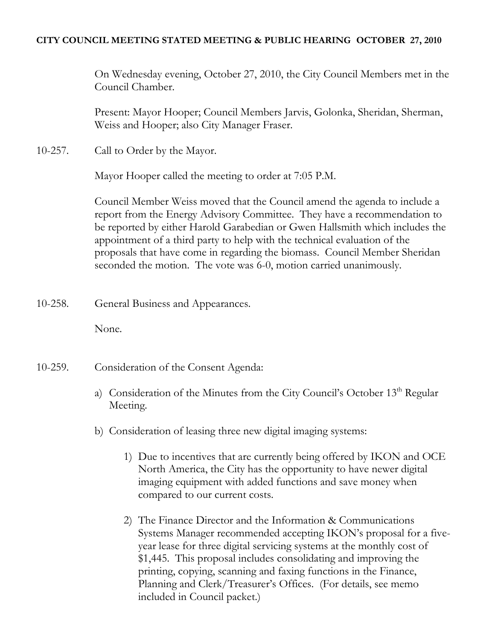## **CITY COUNCIL MEETING STATED MEETING & PUBLIC HEARING OCTOBER 27, 2010**

On Wednesday evening, October 27, 2010, the City Council Members met in the Council Chamber.

Present: Mayor Hooper; Council Members Jarvis, Golonka, Sheridan, Sherman, Weiss and Hooper; also City Manager Fraser.

10-257. Call to Order by the Mayor.

Mayor Hooper called the meeting to order at 7:05 P.M.

Council Member Weiss moved that the Council amend the agenda to include a report from the Energy Advisory Committee. They have a recommendation to be reported by either Harold Garabedian or Gwen Hallsmith which includes the appointment of a third party to help with the technical evaluation of the proposals that have come in regarding the biomass. Council Member Sheridan seconded the motion. The vote was 6-0, motion carried unanimously.

10-258. General Business and Appearances.

None.

- 10-259. Consideration of the Consent Agenda:
	- a) Consideration of the Minutes from the City Council's October 13<sup>th</sup> Regular Meeting.
	- b) Consideration of leasing three new digital imaging systems:
		- 1) Due to incentives that are currently being offered by IKON and OCE North America, the City has the opportunity to have newer digital imaging equipment with added functions and save money when compared to our current costs.
		- 2) The Finance Director and the Information & Communications Systems Manager recommended accepting IKON's proposal for a fiveyear lease for three digital servicing systems at the monthly cost of \$1,445. This proposal includes consolidating and improving the printing, copying, scanning and faxing functions in the Finance, Planning and Clerk/Treasurer's Offices. (For details, see memo included in Council packet.)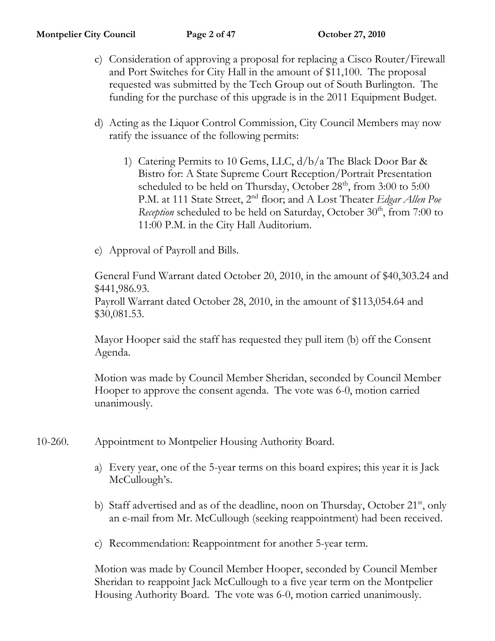- c) Consideration of approving a proposal for replacing a Cisco Router/Firewall and Port Switches for City Hall in the amount of \$11,100. The proposal requested was submitted by the Tech Group out of South Burlington. The funding for the purchase of this upgrade is in the 2011 Equipment Budget.
- d) Acting as the Liquor Control Commission, City Council Members may now ratify the issuance of the following permits:
	- 1) Catering Permits to 10 Gems, LLC, d/b/a The Black Door Bar & Bistro for: A State Supreme Court Reception/Portrait Presentation scheduled to be held on Thursday, October  $28<sup>th</sup>$ , from  $3:00$  to  $5:00$ P.M. at 111 State Street, 2nd floor; and A Lost Theater *Edgar Allen Poe Reception* scheduled to be held on Saturday, October 30<sup>th</sup>, from 7:00 to 11:00 P.M. in the City Hall Auditorium.
- e) Approval of Payroll and Bills.

General Fund Warrant dated October 20, 2010, in the amount of \$40,303.24 and \$441,986.93.

Payroll Warrant dated October 28, 2010, in the amount of \$113,054.64 and \$30,081.53.

Mayor Hooper said the staff has requested they pull item (b) off the Consent Agenda.

Motion was made by Council Member Sheridan, seconded by Council Member Hooper to approve the consent agenda. The vote was 6-0, motion carried unanimously.

- 10-260. Appointment to Montpelier Housing Authority Board.
	- a) Every year, one of the 5-year terms on this board expires; this year it is Jack McCullough's.
	- b) Staff advertised and as of the deadline, noon on Thursday, October  $21<sup>st</sup>$ , only an e-mail from Mr. McCullough (seeking reappointment) had been received.
	- c) Recommendation: Reappointment for another 5-year term.

Motion was made by Council Member Hooper, seconded by Council Member Sheridan to reappoint Jack McCullough to a five year term on the Montpelier Housing Authority Board. The vote was 6-0, motion carried unanimously.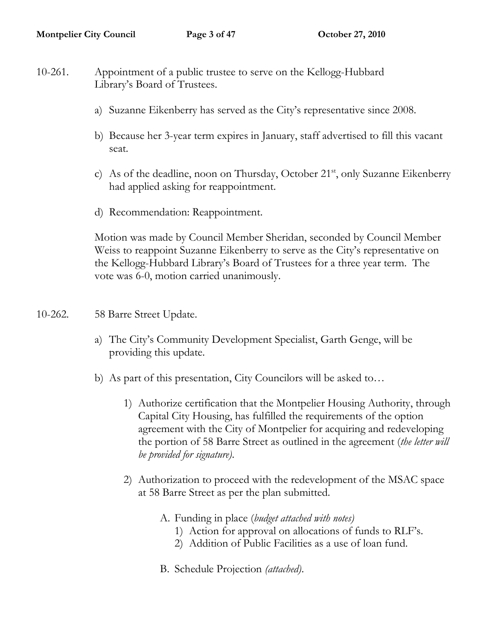- 10-261. Appointment of a public trustee to serve on the Kellogg-Hubbard Library's Board of Trustees.
	- a) Suzanne Eikenberry has served as the City's representative since 2008.
	- b) Because her 3-year term expires in January, staff advertised to fill this vacant seat.
	- c) As of the deadline, noon on Thursday, October  $21<sup>st</sup>$ , only Suzanne Eikenberry had applied asking for reappointment.
	- d) Recommendation: Reappointment.

Motion was made by Council Member Sheridan, seconded by Council Member Weiss to reappoint Suzanne Eikenberry to serve as the City's representative on the Kellogg-Hubbard Library's Board of Trustees for a three year term. The vote was 6-0, motion carried unanimously.

- 10-262. 58 Barre Street Update.
	- a) The City's Community Development Specialist, Garth Genge, will be providing this update.
	- b) As part of this presentation, City Councilors will be asked to…
		- 1) Authorize certification that the Montpelier Housing Authority, through Capital City Housing, has fulfilled the requirements of the option agreement with the City of Montpelier for acquiring and redeveloping the portion of 58 Barre Street as outlined in the agreement (*the letter will be provided for signature)*.
		- 2) Authorization to proceed with the redevelopment of the MSAC space at 58 Barre Street as per the plan submitted.
			- A. Funding in place (*budget attached with notes)*
				- 1) Action for approval on allocations of funds to RLF's.
				- 2) Addition of Public Facilities as a use of loan fund.
			- B. Schedule Projection *(attached)*.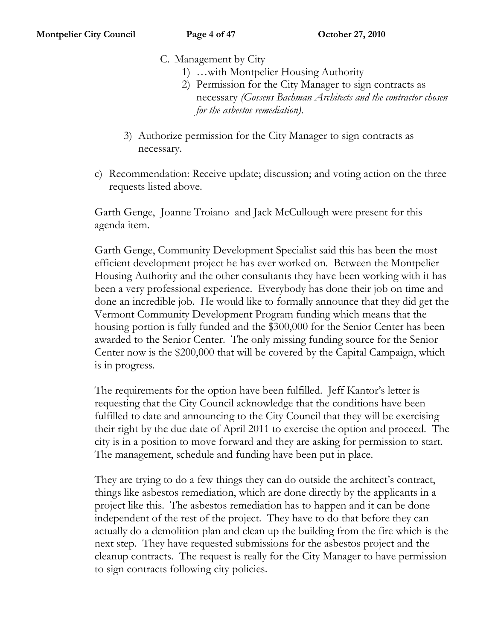- C. Management by City
	- 1) …with Montpelier Housing Authority
	- 2) Permission for the City Manager to sign contracts as necessary *(Gossens Bachman Architects and the contractor chosen for the asbestos remediation)*.
- 3) Authorize permission for the City Manager to sign contracts as necessary.
- c) Recommendation: Receive update; discussion; and voting action on the three requests listed above.

Garth Genge, Joanne Troiano and Jack McCullough were present for this agenda item.

Garth Genge, Community Development Specialist said this has been the most efficient development project he has ever worked on. Between the Montpelier Housing Authority and the other consultants they have been working with it has been a very professional experience. Everybody has done their job on time and done an incredible job. He would like to formally announce that they did get the Vermont Community Development Program funding which means that the housing portion is fully funded and the \$300,000 for the Senior Center has been awarded to the Senior Center. The only missing funding source for the Senior Center now is the \$200,000 that will be covered by the Capital Campaign, which is in progress.

The requirements for the option have been fulfilled. Jeff Kantor's letter is requesting that the City Council acknowledge that the conditions have been fulfilled to date and announcing to the City Council that they will be exercising their right by the due date of April 2011 to exercise the option and proceed. The city is in a position to move forward and they are asking for permission to start. The management, schedule and funding have been put in place.

They are trying to do a few things they can do outside the architect's contract, things like asbestos remediation, which are done directly by the applicants in a project like this. The asbestos remediation has to happen and it can be done independent of the rest of the project. They have to do that before they can actually do a demolition plan and clean up the building from the fire which is the next step. They have requested submissions for the asbestos project and the cleanup contracts. The request is really for the City Manager to have permission to sign contracts following city policies.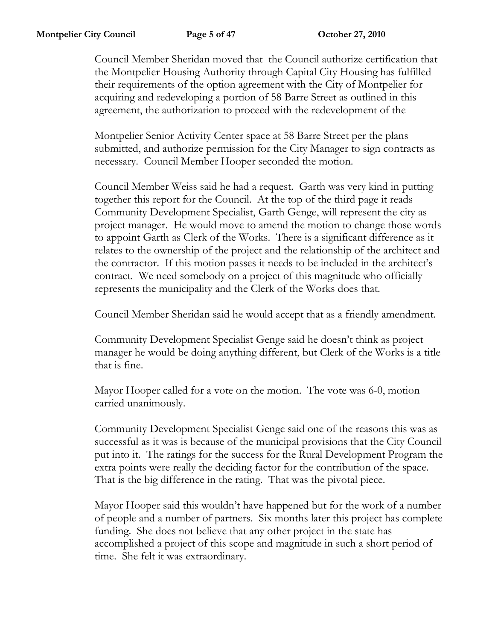Council Member Sheridan moved that the Council authorize certification that the Montpelier Housing Authority through Capital City Housing has fulfilled their requirements of the option agreement with the City of Montpelier for acquiring and redeveloping a portion of 58 Barre Street as outlined in this agreement, the authorization to proceed with the redevelopment of the

Montpelier Senior Activity Center space at 58 Barre Street per the plans submitted, and authorize permission for the City Manager to sign contracts as necessary. Council Member Hooper seconded the motion.

Council Member Weiss said he had a request. Garth was very kind in putting together this report for the Council. At the top of the third page it reads Community Development Specialist, Garth Genge, will represent the city as project manager. He would move to amend the motion to change those words to appoint Garth as Clerk of the Works. There is a significant difference as it relates to the ownership of the project and the relationship of the architect and the contractor. If this motion passes it needs to be included in the architect's contract. We need somebody on a project of this magnitude who officially represents the municipality and the Clerk of the Works does that.

Council Member Sheridan said he would accept that as a friendly amendment.

Community Development Specialist Genge said he doesn't think as project manager he would be doing anything different, but Clerk of the Works is a title that is fine.

Mayor Hooper called for a vote on the motion. The vote was 6-0, motion carried unanimously.

Community Development Specialist Genge said one of the reasons this was as successful as it was is because of the municipal provisions that the City Council put into it. The ratings for the success for the Rural Development Program the extra points were really the deciding factor for the contribution of the space. That is the big difference in the rating. That was the pivotal piece.

Mayor Hooper said this wouldn't have happened but for the work of a number of people and a number of partners. Six months later this project has complete funding. She does not believe that any other project in the state has accomplished a project of this scope and magnitude in such a short period of time. She felt it was extraordinary.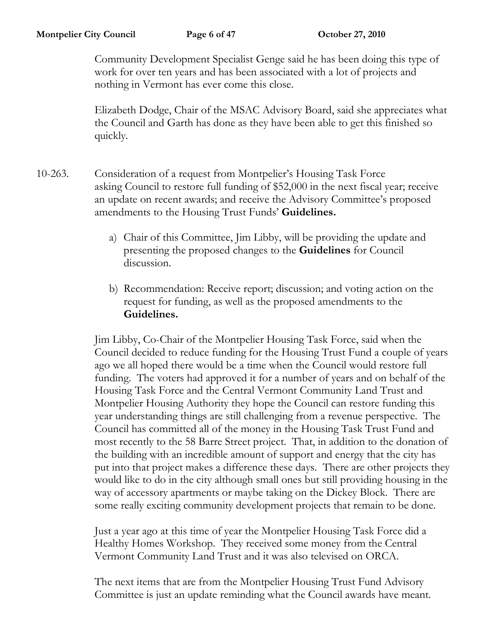Community Development Specialist Genge said he has been doing this type of work for over ten years and has been associated with a lot of projects and nothing in Vermont has ever come this close.

Elizabeth Dodge, Chair of the MSAC Advisory Board, said she appreciates what the Council and Garth has done as they have been able to get this finished so quickly.

- 10-263. Consideration of a request from Montpelier's Housing Task Force asking Council to restore full funding of \$52,000 in the next fiscal year; receive an update on recent awards; and receive the Advisory Committee's proposed amendments to the Housing Trust Funds' **Guidelines.**
	- a) Chair of this Committee, Jim Libby, will be providing the update and presenting the proposed changes to the **Guidelines** for Council discussion.
	- b) Recommendation: Receive report; discussion; and voting action on the request for funding, as well as the proposed amendments to the **Guidelines.**

Jim Libby, Co-Chair of the Montpelier Housing Task Force, said when the Council decided to reduce funding for the Housing Trust Fund a couple of years ago we all hoped there would be a time when the Council would restore full funding. The voters had approved it for a number of years and on behalf of the Housing Task Force and the Central Vermont Community Land Trust and Montpelier Housing Authority they hope the Council can restore funding this year understanding things are still challenging from a revenue perspective. The Council has committed all of the money in the Housing Task Trust Fund and most recently to the 58 Barre Street project. That, in addition to the donation of the building with an incredible amount of support and energy that the city has put into that project makes a difference these days. There are other projects they would like to do in the city although small ones but still providing housing in the way of accessory apartments or maybe taking on the Dickey Block. There are some really exciting community development projects that remain to be done.

Just a year ago at this time of year the Montpelier Housing Task Force did a Healthy Homes Workshop. They received some money from the Central Vermont Community Land Trust and it was also televised on ORCA.

The next items that are from the Montpelier Housing Trust Fund Advisory Committee is just an update reminding what the Council awards have meant.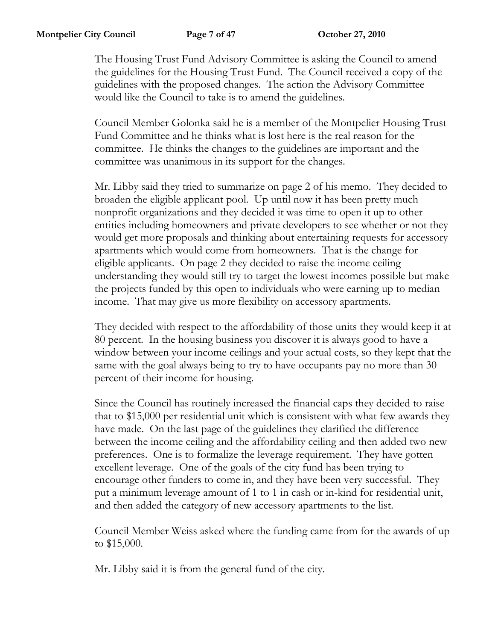The Housing Trust Fund Advisory Committee is asking the Council to amend the guidelines for the Housing Trust Fund. The Council received a copy of the guidelines with the proposed changes. The action the Advisory Committee would like the Council to take is to amend the guidelines.

Council Member Golonka said he is a member of the Montpelier Housing Trust Fund Committee and he thinks what is lost here is the real reason for the committee. He thinks the changes to the guidelines are important and the committee was unanimous in its support for the changes.

Mr. Libby said they tried to summarize on page 2 of his memo. They decided to broaden the eligible applicant pool. Up until now it has been pretty much nonprofit organizations and they decided it was time to open it up to other entities including homeowners and private developers to see whether or not they would get more proposals and thinking about entertaining requests for accessory apartments which would come from homeowners. That is the change for eligible applicants. On page 2 they decided to raise the income ceiling understanding they would still try to target the lowest incomes possible but make the projects funded by this open to individuals who were earning up to median income. That may give us more flexibility on accessory apartments.

They decided with respect to the affordability of those units they would keep it at 80 percent. In the housing business you discover it is always good to have a window between your income ceilings and your actual costs, so they kept that the same with the goal always being to try to have occupants pay no more than 30 percent of their income for housing.

Since the Council has routinely increased the financial caps they decided to raise that to \$15,000 per residential unit which is consistent with what few awards they have made. On the last page of the guidelines they clarified the difference between the income ceiling and the affordability ceiling and then added two new preferences. One is to formalize the leverage requirement. They have gotten excellent leverage. One of the goals of the city fund has been trying to encourage other funders to come in, and they have been very successful. They put a minimum leverage amount of 1 to 1 in cash or in-kind for residential unit, and then added the category of new accessory apartments to the list.

Council Member Weiss asked where the funding came from for the awards of up to \$15,000.

Mr. Libby said it is from the general fund of the city.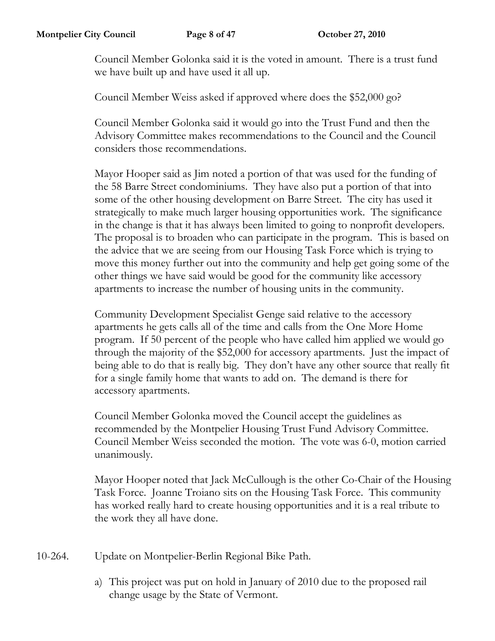Council Member Golonka said it is the voted in amount. There is a trust fund we have built up and have used it all up.

Council Member Weiss asked if approved where does the \$52,000 go?

Council Member Golonka said it would go into the Trust Fund and then the Advisory Committee makes recommendations to the Council and the Council considers those recommendations.

Mayor Hooper said as Jim noted a portion of that was used for the funding of the 58 Barre Street condominiums. They have also put a portion of that into some of the other housing development on Barre Street. The city has used it strategically to make much larger housing opportunities work. The significance in the change is that it has always been limited to going to nonprofit developers. The proposal is to broaden who can participate in the program. This is based on the advice that we are seeing from our Housing Task Force which is trying to move this money further out into the community and help get going some of the other things we have said would be good for the community like accessory apartments to increase the number of housing units in the community.

Community Development Specialist Genge said relative to the accessory apartments he gets calls all of the time and calls from the One More Home program. If 50 percent of the people who have called him applied we would go through the majority of the \$52,000 for accessory apartments. Just the impact of being able to do that is really big. They don't have any other source that really fit for a single family home that wants to add on. The demand is there for accessory apartments.

Council Member Golonka moved the Council accept the guidelines as recommended by the Montpelier Housing Trust Fund Advisory Committee. Council Member Weiss seconded the motion. The vote was 6-0, motion carried unanimously.

Mayor Hooper noted that Jack McCullough is the other Co-Chair of the Housing Task Force. Joanne Troiano sits on the Housing Task Force. This community has worked really hard to create housing opportunities and it is a real tribute to the work they all have done.

- 10-264. Update on Montpelier-Berlin Regional Bike Path.
	- a) This project was put on hold in January of 2010 due to the proposed rail change usage by the State of Vermont.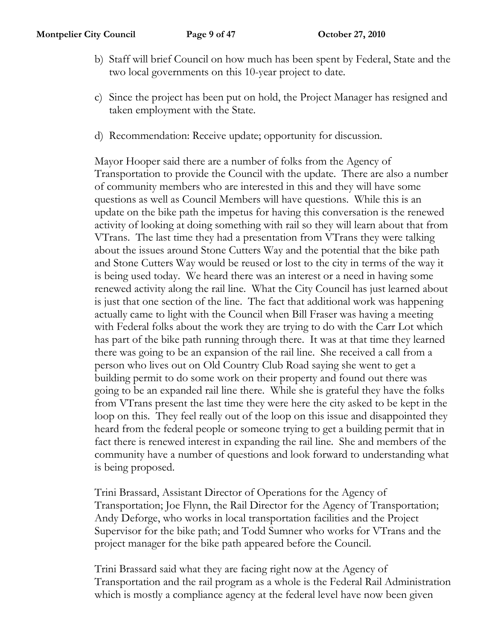- b) Staff will brief Council on how much has been spent by Federal, State and the two local governments on this 10-year project to date.
- c) Since the project has been put on hold, the Project Manager has resigned and taken employment with the State.
- d) Recommendation: Receive update; opportunity for discussion.

Mayor Hooper said there are a number of folks from the Agency of Transportation to provide the Council with the update. There are also a number of community members who are interested in this and they will have some questions as well as Council Members will have questions. While this is an update on the bike path the impetus for having this conversation is the renewed activity of looking at doing something with rail so they will learn about that from VTrans. The last time they had a presentation from VTrans they were talking about the issues around Stone Cutters Way and the potential that the bike path and Stone Cutters Way would be reused or lost to the city in terms of the way it is being used today. We heard there was an interest or a need in having some renewed activity along the rail line. What the City Council has just learned about is just that one section of the line. The fact that additional work was happening actually came to light with the Council when Bill Fraser was having a meeting with Federal folks about the work they are trying to do with the Carr Lot which has part of the bike path running through there. It was at that time they learned there was going to be an expansion of the rail line. She received a call from a person who lives out on Old Country Club Road saying she went to get a building permit to do some work on their property and found out there was going to be an expanded rail line there. While she is grateful they have the folks from VTrans present the last time they were here the city asked to be kept in the loop on this. They feel really out of the loop on this issue and disappointed they heard from the federal people or someone trying to get a building permit that in fact there is renewed interest in expanding the rail line. She and members of the community have a number of questions and look forward to understanding what is being proposed.

Trini Brassard, Assistant Director of Operations for the Agency of Transportation; Joe Flynn, the Rail Director for the Agency of Transportation; Andy Deforge, who works in local transportation facilities and the Project Supervisor for the bike path; and Todd Sumner who works for VTrans and the project manager for the bike path appeared before the Council.

Trini Brassard said what they are facing right now at the Agency of Transportation and the rail program as a whole is the Federal Rail Administration which is mostly a compliance agency at the federal level have now been given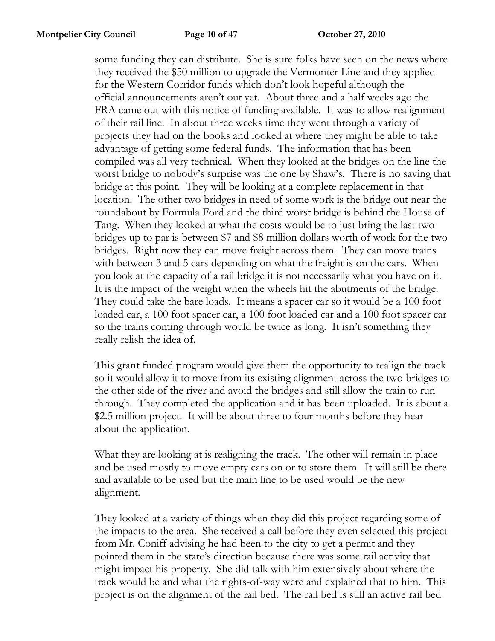some funding they can distribute. She is sure folks have seen on the news where they received the \$50 million to upgrade the Vermonter Line and they applied for the Western Corridor funds which don't look hopeful although the official announcements aren't out yet. About three and a half weeks ago the FRA came out with this notice of funding available. It was to allow realignment of their rail line. In about three weeks time they went through a variety of projects they had on the books and looked at where they might be able to take advantage of getting some federal funds. The information that has been compiled was all very technical. When they looked at the bridges on the line the worst bridge to nobody's surprise was the one by Shaw's. There is no saving that bridge at this point. They will be looking at a complete replacement in that location. The other two bridges in need of some work is the bridge out near the roundabout by Formula Ford and the third worst bridge is behind the House of Tang. When they looked at what the costs would be to just bring the last two bridges up to par is between \$7 and \$8 million dollars worth of work for the two bridges. Right now they can move freight across them. They can move trains with between 3 and 5 cars depending on what the freight is on the cars. When you look at the capacity of a rail bridge it is not necessarily what you have on it. It is the impact of the weight when the wheels hit the abutments of the bridge. They could take the bare loads. It means a spacer car so it would be a 100 foot loaded car, a 100 foot spacer car, a 100 foot loaded car and a 100 foot spacer car so the trains coming through would be twice as long. It isn't something they really relish the idea of.

This grant funded program would give them the opportunity to realign the track so it would allow it to move from its existing alignment across the two bridges to the other side of the river and avoid the bridges and still allow the train to run through. They completed the application and it has been uploaded. It is about a \$2.5 million project. It will be about three to four months before they hear about the application.

What they are looking at is realigning the track. The other will remain in place and be used mostly to move empty cars on or to store them. It will still be there and available to be used but the main line to be used would be the new alignment.

They looked at a variety of things when they did this project regarding some of the impacts to the area. She received a call before they even selected this project from Mr. Coniff advising he had been to the city to get a permit and they pointed them in the state's direction because there was some rail activity that might impact his property. She did talk with him extensively about where the track would be and what the rights-of-way were and explained that to him. This project is on the alignment of the rail bed. The rail bed is still an active rail bed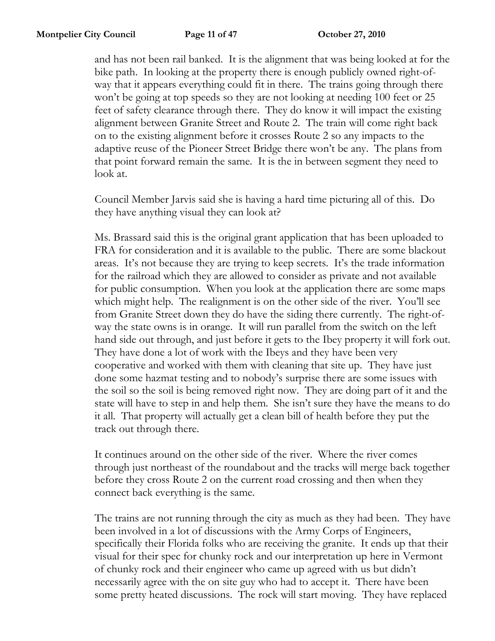and has not been rail banked. It is the alignment that was being looked at for the bike path. In looking at the property there is enough publicly owned right-ofway that it appears everything could fit in there. The trains going through there won't be going at top speeds so they are not looking at needing 100 feet or 25 feet of safety clearance through there. They do know it will impact the existing alignment between Granite Street and Route 2. The train will come right back on to the existing alignment before it crosses Route 2 so any impacts to the adaptive reuse of the Pioneer Street Bridge there won't be any. The plans from that point forward remain the same. It is the in between segment they need to look at.

Council Member Jarvis said she is having a hard time picturing all of this. Do they have anything visual they can look at?

Ms. Brassard said this is the original grant application that has been uploaded to FRA for consideration and it is available to the public. There are some blackout areas. It's not because they are trying to keep secrets. It's the trade information for the railroad which they are allowed to consider as private and not available for public consumption. When you look at the application there are some maps which might help. The realignment is on the other side of the river. You'll see from Granite Street down they do have the siding there currently. The right-ofway the state owns is in orange. It will run parallel from the switch on the left hand side out through, and just before it gets to the Ibey property it will fork out. They have done a lot of work with the Ibeys and they have been very cooperative and worked with them with cleaning that site up. They have just done some hazmat testing and to nobody's surprise there are some issues with the soil so the soil is being removed right now. They are doing part of it and the state will have to step in and help them. She isn't sure they have the means to do it all. That property will actually get a clean bill of health before they put the track out through there.

It continues around on the other side of the river. Where the river comes through just northeast of the roundabout and the tracks will merge back together before they cross Route 2 on the current road crossing and then when they connect back everything is the same.

The trains are not running through the city as much as they had been. They have been involved in a lot of discussions with the Army Corps of Engineers, specifically their Florida folks who are receiving the granite. It ends up that their visual for their spec for chunky rock and our interpretation up here in Vermont of chunky rock and their engineer who came up agreed with us but didn't necessarily agree with the on site guy who had to accept it. There have been some pretty heated discussions. The rock will start moving. They have replaced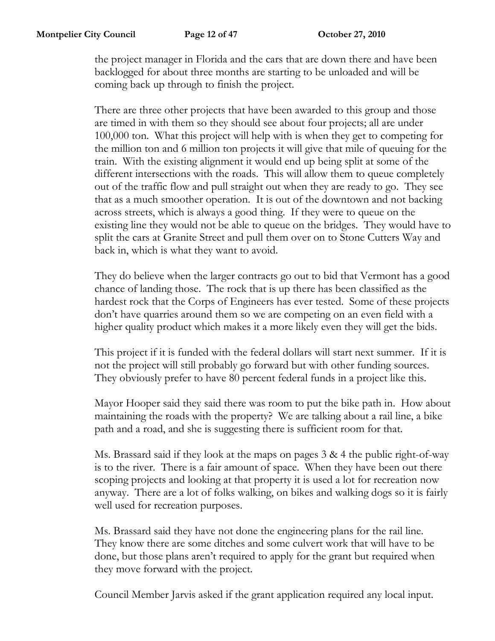the project manager in Florida and the cars that are down there and have been backlogged for about three months are starting to be unloaded and will be coming back up through to finish the project.

There are three other projects that have been awarded to this group and those are timed in with them so they should see about four projects; all are under 100,000 ton. What this project will help with is when they get to competing for the million ton and 6 million ton projects it will give that mile of queuing for the train. With the existing alignment it would end up being split at some of the different intersections with the roads. This will allow them to queue completely out of the traffic flow and pull straight out when they are ready to go. They see that as a much smoother operation. It is out of the downtown and not backing across streets, which is always a good thing. If they were to queue on the existing line they would not be able to queue on the bridges. They would have to split the cars at Granite Street and pull them over on to Stone Cutters Way and back in, which is what they want to avoid.

They do believe when the larger contracts go out to bid that Vermont has a good chance of landing those. The rock that is up there has been classified as the hardest rock that the Corps of Engineers has ever tested. Some of these projects don't have quarries around them so we are competing on an even field with a higher quality product which makes it a more likely even they will get the bids.

This project if it is funded with the federal dollars will start next summer. If it is not the project will still probably go forward but with other funding sources. They obviously prefer to have 80 percent federal funds in a project like this.

Mayor Hooper said they said there was room to put the bike path in. How about maintaining the roads with the property? We are talking about a rail line, a bike path and a road, and she is suggesting there is sufficient room for that.

Ms. Brassard said if they look at the maps on pages 3 & 4 the public right-of-way is to the river. There is a fair amount of space. When they have been out there scoping projects and looking at that property it is used a lot for recreation now anyway. There are a lot of folks walking, on bikes and walking dogs so it is fairly well used for recreation purposes.

Ms. Brassard said they have not done the engineering plans for the rail line. They know there are some ditches and some culvert work that will have to be done, but those plans aren't required to apply for the grant but required when they move forward with the project.

Council Member Jarvis asked if the grant application required any local input.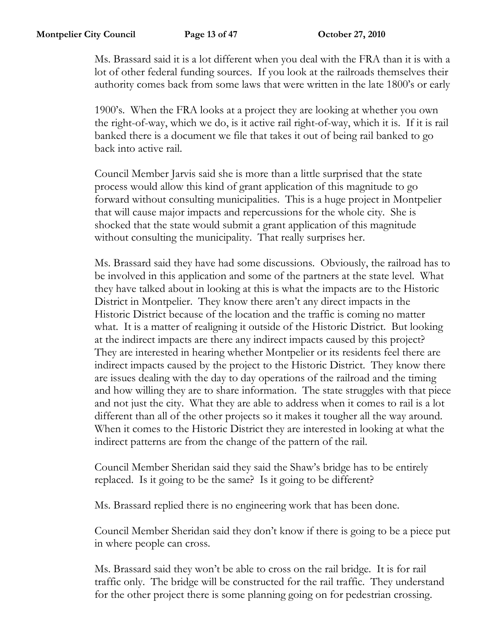Ms. Brassard said it is a lot different when you deal with the FRA than it is with a lot of other federal funding sources. If you look at the railroads themselves their authority comes back from some laws that were written in the late 1800's or early

1900's. When the FRA looks at a project they are looking at whether you own the right-of-way, which we do, is it active rail right-of-way, which it is. If it is rail banked there is a document we file that takes it out of being rail banked to go back into active rail.

Council Member Jarvis said she is more than a little surprised that the state process would allow this kind of grant application of this magnitude to go forward without consulting municipalities. This is a huge project in Montpelier that will cause major impacts and repercussions for the whole city. She is shocked that the state would submit a grant application of this magnitude without consulting the municipality. That really surprises her.

Ms. Brassard said they have had some discussions. Obviously, the railroad has to be involved in this application and some of the partners at the state level. What they have talked about in looking at this is what the impacts are to the Historic District in Montpelier. They know there aren't any direct impacts in the Historic District because of the location and the traffic is coming no matter what. It is a matter of realigning it outside of the Historic District. But looking at the indirect impacts are there any indirect impacts caused by this project? They are interested in hearing whether Montpelier or its residents feel there are indirect impacts caused by the project to the Historic District. They know there are issues dealing with the day to day operations of the railroad and the timing and how willing they are to share information. The state struggles with that piece and not just the city. What they are able to address when it comes to rail is a lot different than all of the other projects so it makes it tougher all the way around. When it comes to the Historic District they are interested in looking at what the indirect patterns are from the change of the pattern of the rail.

Council Member Sheridan said they said the Shaw's bridge has to be entirely replaced. Is it going to be the same? Is it going to be different?

Ms. Brassard replied there is no engineering work that has been done.

Council Member Sheridan said they don't know if there is going to be a piece put in where people can cross.

Ms. Brassard said they won't be able to cross on the rail bridge. It is for rail traffic only. The bridge will be constructed for the rail traffic. They understand for the other project there is some planning going on for pedestrian crossing.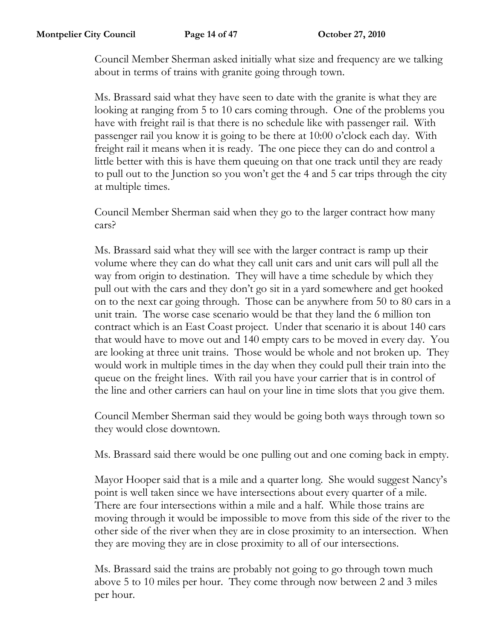Council Member Sherman asked initially what size and frequency are we talking about in terms of trains with granite going through town.

Ms. Brassard said what they have seen to date with the granite is what they are looking at ranging from 5 to 10 cars coming through. One of the problems you have with freight rail is that there is no schedule like with passenger rail. With passenger rail you know it is going to be there at 10:00 o'clock each day. With freight rail it means when it is ready. The one piece they can do and control a little better with this is have them queuing on that one track until they are ready to pull out to the Junction so you won't get the 4 and 5 car trips through the city at multiple times.

Council Member Sherman said when they go to the larger contract how many cars?

Ms. Brassard said what they will see with the larger contract is ramp up their volume where they can do what they call unit cars and unit cars will pull all the way from origin to destination. They will have a time schedule by which they pull out with the cars and they don't go sit in a yard somewhere and get hooked on to the next car going through. Those can be anywhere from 50 to 80 cars in a unit train. The worse case scenario would be that they land the 6 million ton contract which is an East Coast project. Under that scenario it is about 140 cars that would have to move out and 140 empty cars to be moved in every day. You are looking at three unit trains. Those would be whole and not broken up. They would work in multiple times in the day when they could pull their train into the queue on the freight lines. With rail you have your carrier that is in control of the line and other carriers can haul on your line in time slots that you give them.

Council Member Sherman said they would be going both ways through town so they would close downtown.

Ms. Brassard said there would be one pulling out and one coming back in empty.

Mayor Hooper said that is a mile and a quarter long. She would suggest Nancy's point is well taken since we have intersections about every quarter of a mile. There are four intersections within a mile and a half. While those trains are moving through it would be impossible to move from this side of the river to the other side of the river when they are in close proximity to an intersection. When they are moving they are in close proximity to all of our intersections.

Ms. Brassard said the trains are probably not going to go through town much above 5 to 10 miles per hour. They come through now between 2 and 3 miles per hour.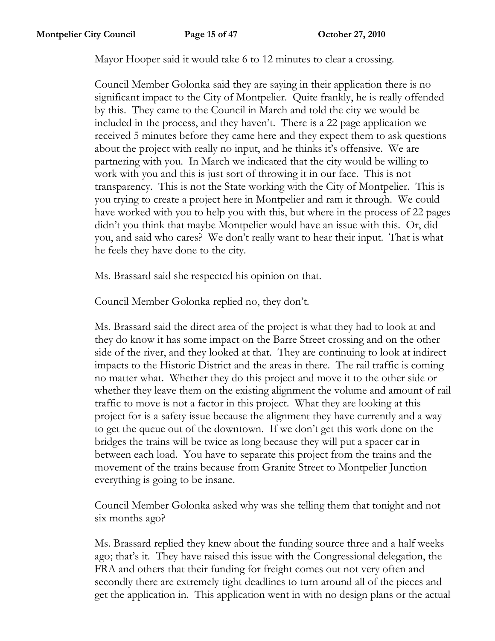Mayor Hooper said it would take 6 to 12 minutes to clear a crossing.

Council Member Golonka said they are saying in their application there is no significant impact to the City of Montpelier. Quite frankly, he is really offended by this. They came to the Council in March and told the city we would be included in the process, and they haven't. There is a 22 page application we received 5 minutes before they came here and they expect them to ask questions about the project with really no input, and he thinks it's offensive. We are partnering with you. In March we indicated that the city would be willing to work with you and this is just sort of throwing it in our face. This is not transparency. This is not the State working with the City of Montpelier. This is you trying to create a project here in Montpelier and ram it through. We could have worked with you to help you with this, but where in the process of 22 pages didn't you think that maybe Montpelier would have an issue with this. Or, did you, and said who cares? We don't really want to hear their input. That is what he feels they have done to the city.

Ms. Brassard said she respected his opinion on that.

Council Member Golonka replied no, they don't.

Ms. Brassard said the direct area of the project is what they had to look at and they do know it has some impact on the Barre Street crossing and on the other side of the river, and they looked at that. They are continuing to look at indirect impacts to the Historic District and the areas in there. The rail traffic is coming no matter what. Whether they do this project and move it to the other side or whether they leave them on the existing alignment the volume and amount of rail traffic to move is not a factor in this project. What they are looking at this project for is a safety issue because the alignment they have currently and a way to get the queue out of the downtown. If we don't get this work done on the bridges the trains will be twice as long because they will put a spacer car in between each load. You have to separate this project from the trains and the movement of the trains because from Granite Street to Montpelier Junction everything is going to be insane.

Council Member Golonka asked why was she telling them that tonight and not six months ago?

Ms. Brassard replied they knew about the funding source three and a half weeks ago; that's it. They have raised this issue with the Congressional delegation, the FRA and others that their funding for freight comes out not very often and secondly there are extremely tight deadlines to turn around all of the pieces and get the application in. This application went in with no design plans or the actual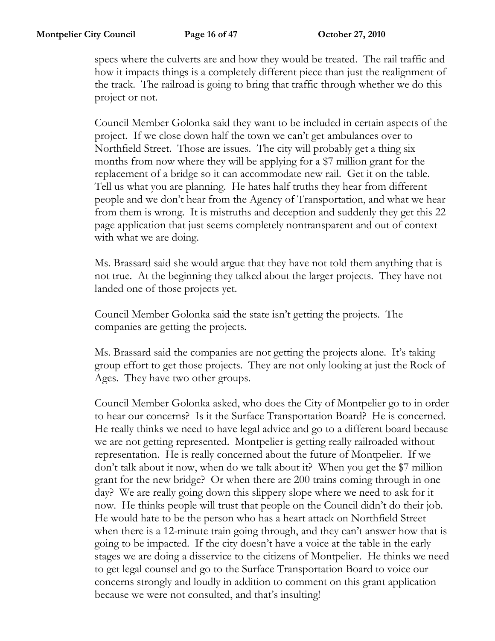specs where the culverts are and how they would be treated. The rail traffic and how it impacts things is a completely different piece than just the realignment of the track. The railroad is going to bring that traffic through whether we do this project or not.

Council Member Golonka said they want to be included in certain aspects of the project. If we close down half the town we can't get ambulances over to Northfield Street. Those are issues. The city will probably get a thing six months from now where they will be applying for a \$7 million grant for the replacement of a bridge so it can accommodate new rail. Get it on the table. Tell us what you are planning. He hates half truths they hear from different people and we don't hear from the Agency of Transportation, and what we hear from them is wrong. It is mistruths and deception and suddenly they get this 22 page application that just seems completely nontransparent and out of context with what we are doing.

Ms. Brassard said she would argue that they have not told them anything that is not true. At the beginning they talked about the larger projects. They have not landed one of those projects yet.

Council Member Golonka said the state isn't getting the projects. The companies are getting the projects.

Ms. Brassard said the companies are not getting the projects alone. It's taking group effort to get those projects. They are not only looking at just the Rock of Ages. They have two other groups.

Council Member Golonka asked, who does the City of Montpelier go to in order to hear our concerns? Is it the Surface Transportation Board? He is concerned. He really thinks we need to have legal advice and go to a different board because we are not getting represented. Montpelier is getting really railroaded without representation. He is really concerned about the future of Montpelier. If we don't talk about it now, when do we talk about it? When you get the \$7 million grant for the new bridge? Or when there are 200 trains coming through in one day? We are really going down this slippery slope where we need to ask for it now. He thinks people will trust that people on the Council didn't do their job. He would hate to be the person who has a heart attack on Northfield Street when there is a 12-minute train going through, and they can't answer how that is going to be impacted. If the city doesn't have a voice at the table in the early stages we are doing a disservice to the citizens of Montpelier. He thinks we need to get legal counsel and go to the Surface Transportation Board to voice our concerns strongly and loudly in addition to comment on this grant application because we were not consulted, and that's insulting!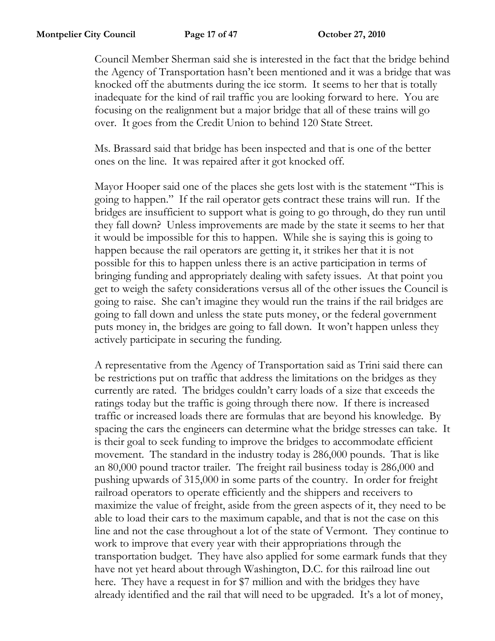Council Member Sherman said she is interested in the fact that the bridge behind the Agency of Transportation hasn't been mentioned and it was a bridge that was knocked off the abutments during the ice storm. It seems to her that is totally inadequate for the kind of rail traffic you are looking forward to here. You are focusing on the realignment but a major bridge that all of these trains will go over. It goes from the Credit Union to behind 120 State Street.

Ms. Brassard said that bridge has been inspected and that is one of the better ones on the line. It was repaired after it got knocked off.

Mayor Hooper said one of the places she gets lost with is the statement "This is going to happen." If the rail operator gets contract these trains will run. If the bridges are insufficient to support what is going to go through, do they run until they fall down? Unless improvements are made by the state it seems to her that it would be impossible for this to happen. While she is saying this is going to happen because the rail operators are getting it, it strikes her that it is not possible for this to happen unless there is an active participation in terms of bringing funding and appropriately dealing with safety issues. At that point you get to weigh the safety considerations versus all of the other issues the Council is going to raise. She can't imagine they would run the trains if the rail bridges are going to fall down and unless the state puts money, or the federal government puts money in, the bridges are going to fall down. It won't happen unless they actively participate in securing the funding.

A representative from the Agency of Transportation said as Trini said there can be restrictions put on traffic that address the limitations on the bridges as they currently are rated. The bridges couldn't carry loads of a size that exceeds the ratings today but the traffic is going through there now. If there is increased traffic or increased loads there are formulas that are beyond his knowledge. By spacing the cars the engineers can determine what the bridge stresses can take. It is their goal to seek funding to improve the bridges to accommodate efficient movement. The standard in the industry today is 286,000 pounds. That is like an 80,000 pound tractor trailer. The freight rail business today is 286,000 and pushing upwards of 315,000 in some parts of the country. In order for freight railroad operators to operate efficiently and the shippers and receivers to maximize the value of freight, aside from the green aspects of it, they need to be able to load their cars to the maximum capable, and that is not the case on this line and not the case throughout a lot of the state of Vermont. They continue to work to improve that every year with their appropriations through the transportation budget. They have also applied for some earmark funds that they have not yet heard about through Washington, D.C. for this railroad line out here. They have a request in for \$7 million and with the bridges they have already identified and the rail that will need to be upgraded. It's a lot of money,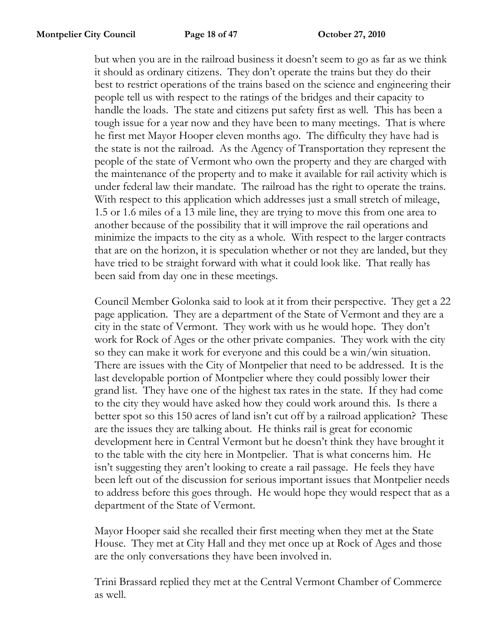but when you are in the railroad business it doesn't seem to go as far as we think it should as ordinary citizens. They don't operate the trains but they do their best to restrict operations of the trains based on the science and engineering their people tell us with respect to the ratings of the bridges and their capacity to handle the loads. The state and citizens put safety first as well. This has been a tough issue for a year now and they have been to many meetings. That is where he first met Mayor Hooper eleven months ago. The difficulty they have had is the state is not the railroad. As the Agency of Transportation they represent the people of the state of Vermont who own the property and they are charged with the maintenance of the property and to make it available for rail activity which is under federal law their mandate. The railroad has the right to operate the trains. With respect to this application which addresses just a small stretch of mileage, 1.5 or 1.6 miles of a 13 mile line, they are trying to move this from one area to another because of the possibility that it will improve the rail operations and minimize the impacts to the city as a whole. With respect to the larger contracts that are on the horizon, it is speculation whether or not they are landed, but they have tried to be straight forward with what it could look like. That really has been said from day one in these meetings.

Council Member Golonka said to look at it from their perspective. They get a 22 page application. They are a department of the State of Vermont and they are a city in the state of Vermont. They work with us he would hope. They don't work for Rock of Ages or the other private companies. They work with the city so they can make it work for everyone and this could be a win/win situation. There are issues with the City of Montpelier that need to be addressed. It is the last developable portion of Montpelier where they could possibly lower their grand list. They have one of the highest tax rates in the state. If they had come to the city they would have asked how they could work around this. Is there a better spot so this 150 acres of land isn't cut off by a railroad application? These are the issues they are talking about. He thinks rail is great for economic development here in Central Vermont but he doesn't think they have brought it to the table with the city here in Montpelier. That is what concerns him. He isn't suggesting they aren't looking to create a rail passage. He feels they have been left out of the discussion for serious important issues that Montpelier needs to address before this goes through. He would hope they would respect that as a department of the State of Vermont.

Mayor Hooper said she recalled their first meeting when they met at the State House. They met at City Hall and they met once up at Rock of Ages and those are the only conversations they have been involved in.

Trini Brassard replied they met at the Central Vermont Chamber of Commerce as well.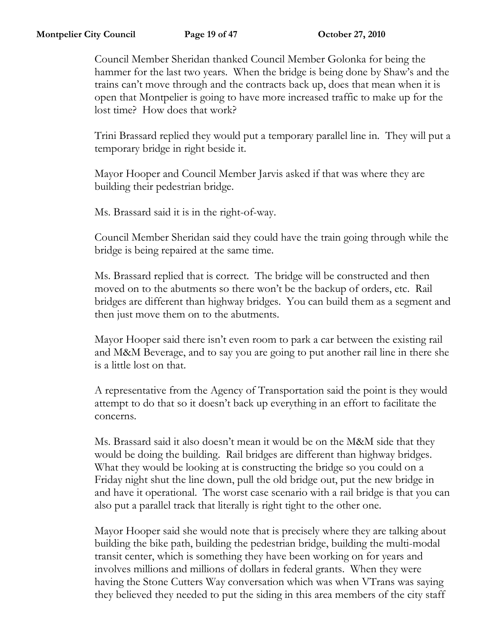Council Member Sheridan thanked Council Member Golonka for being the hammer for the last two years. When the bridge is being done by Shaw's and the trains can't move through and the contracts back up, does that mean when it is open that Montpelier is going to have more increased traffic to make up for the lost time? How does that work?

Trini Brassard replied they would put a temporary parallel line in. They will put a temporary bridge in right beside it.

Mayor Hooper and Council Member Jarvis asked if that was where they are building their pedestrian bridge.

Ms. Brassard said it is in the right-of-way.

Council Member Sheridan said they could have the train going through while the bridge is being repaired at the same time.

Ms. Brassard replied that is correct. The bridge will be constructed and then moved on to the abutments so there won't be the backup of orders, etc. Rail bridges are different than highway bridges. You can build them as a segment and then just move them on to the abutments.

Mayor Hooper said there isn't even room to park a car between the existing rail and M&M Beverage, and to say you are going to put another rail line in there she is a little lost on that.

A representative from the Agency of Transportation said the point is they would attempt to do that so it doesn't back up everything in an effort to facilitate the concerns.

Ms. Brassard said it also doesn't mean it would be on the M&M side that they would be doing the building. Rail bridges are different than highway bridges. What they would be looking at is constructing the bridge so you could on a Friday night shut the line down, pull the old bridge out, put the new bridge in and have it operational. The worst case scenario with a rail bridge is that you can also put a parallel track that literally is right tight to the other one.

Mayor Hooper said she would note that is precisely where they are talking about building the bike path, building the pedestrian bridge, building the multi-modal transit center, which is something they have been working on for years and involves millions and millions of dollars in federal grants. When they were having the Stone Cutters Way conversation which was when VTrans was saying they believed they needed to put the siding in this area members of the city staff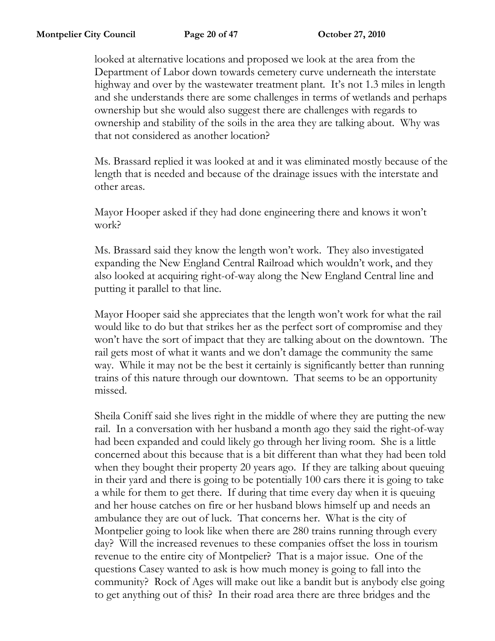looked at alternative locations and proposed we look at the area from the Department of Labor down towards cemetery curve underneath the interstate highway and over by the wastewater treatment plant. It's not 1.3 miles in length and she understands there are some challenges in terms of wetlands and perhaps ownership but she would also suggest there are challenges with regards to ownership and stability of the soils in the area they are talking about. Why was that not considered as another location?

Ms. Brassard replied it was looked at and it was eliminated mostly because of the length that is needed and because of the drainage issues with the interstate and other areas.

Mayor Hooper asked if they had done engineering there and knows it won't work?

Ms. Brassard said they know the length won't work. They also investigated expanding the New England Central Railroad which wouldn't work, and they also looked at acquiring right-of-way along the New England Central line and putting it parallel to that line.

Mayor Hooper said she appreciates that the length won't work for what the rail would like to do but that strikes her as the perfect sort of compromise and they won't have the sort of impact that they are talking about on the downtown. The rail gets most of what it wants and we don't damage the community the same way. While it may not be the best it certainly is significantly better than running trains of this nature through our downtown. That seems to be an opportunity missed.

Sheila Coniff said she lives right in the middle of where they are putting the new rail. In a conversation with her husband a month ago they said the right-of-way had been expanded and could likely go through her living room. She is a little concerned about this because that is a bit different than what they had been told when they bought their property 20 years ago. If they are talking about queuing in their yard and there is going to be potentially 100 cars there it is going to take a while for them to get there. If during that time every day when it is queuing and her house catches on fire or her husband blows himself up and needs an ambulance they are out of luck. That concerns her. What is the city of Montpelier going to look like when there are 280 trains running through every day? Will the increased revenues to these companies offset the loss in tourism revenue to the entire city of Montpelier? That is a major issue. One of the questions Casey wanted to ask is how much money is going to fall into the community? Rock of Ages will make out like a bandit but is anybody else going to get anything out of this? In their road area there are three bridges and the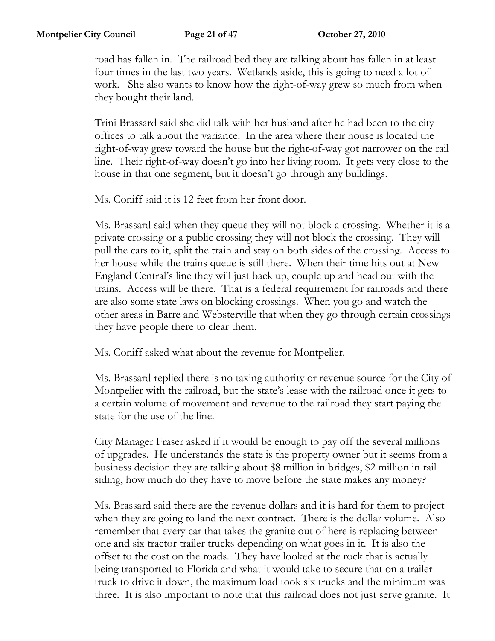road has fallen in. The railroad bed they are talking about has fallen in at least four times in the last two years. Wetlands aside, this is going to need a lot of work. She also wants to know how the right-of-way grew so much from when they bought their land.

Trini Brassard said she did talk with her husband after he had been to the city offices to talk about the variance. In the area where their house is located the right-of-way grew toward the house but the right-of-way got narrower on the rail line. Their right-of-way doesn't go into her living room. It gets very close to the house in that one segment, but it doesn't go through any buildings.

Ms. Coniff said it is 12 feet from her front door.

Ms. Brassard said when they queue they will not block a crossing. Whether it is a private crossing or a public crossing they will not block the crossing. They will pull the cars to it, split the train and stay on both sides of the crossing. Access to her house while the trains queue is still there. When their time hits out at New England Central's line they will just back up, couple up and head out with the trains. Access will be there. That is a federal requirement for railroads and there are also some state laws on blocking crossings. When you go and watch the other areas in Barre and Websterville that when they go through certain crossings they have people there to clear them.

Ms. Coniff asked what about the revenue for Montpelier.

Ms. Brassard replied there is no taxing authority or revenue source for the City of Montpelier with the railroad, but the state's lease with the railroad once it gets to a certain volume of movement and revenue to the railroad they start paying the state for the use of the line.

City Manager Fraser asked if it would be enough to pay off the several millions of upgrades. He understands the state is the property owner but it seems from a business decision they are talking about \$8 million in bridges, \$2 million in rail siding, how much do they have to move before the state makes any money?

Ms. Brassard said there are the revenue dollars and it is hard for them to project when they are going to land the next contract. There is the dollar volume. Also remember that every car that takes the granite out of here is replacing between one and six tractor trailer trucks depending on what goes in it. It is also the offset to the cost on the roads. They have looked at the rock that is actually being transported to Florida and what it would take to secure that on a trailer truck to drive it down, the maximum load took six trucks and the minimum was three. It is also important to note that this railroad does not just serve granite. It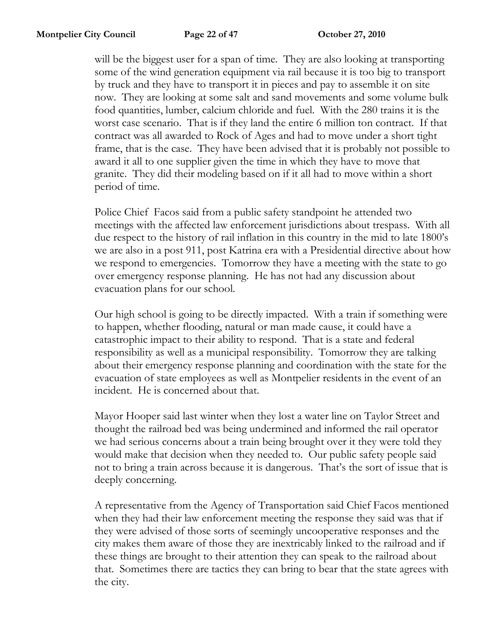will be the biggest user for a span of time. They are also looking at transporting some of the wind generation equipment via rail because it is too big to transport by truck and they have to transport it in pieces and pay to assemble it on site now. They are looking at some salt and sand movements and some volume bulk food quantities, lumber, calcium chloride and fuel. With the 280 trains it is the worst case scenario. That is if they land the entire 6 million ton contract. If that contract was all awarded to Rock of Ages and had to move under a short tight frame, that is the case. They have been advised that it is probably not possible to award it all to one supplier given the time in which they have to move that granite. They did their modeling based on if it all had to move within a short period of time.

Police Chief Facos said from a public safety standpoint he attended two meetings with the affected law enforcement jurisdictions about trespass. With all due respect to the history of rail inflation in this country in the mid to late 1800's we are also in a post 911, post Katrina era with a Presidential directive about how we respond to emergencies. Tomorrow they have a meeting with the state to go over emergency response planning. He has not had any discussion about evacuation plans for our school.

Our high school is going to be directly impacted. With a train if something were to happen, whether flooding, natural or man made cause, it could have a catastrophic impact to their ability to respond. That is a state and federal responsibility as well as a municipal responsibility. Tomorrow they are talking about their emergency response planning and coordination with the state for the evacuation of state employees as well as Montpelier residents in the event of an incident. He is concerned about that.

Mayor Hooper said last winter when they lost a water line on Taylor Street and thought the railroad bed was being undermined and informed the rail operator we had serious concerns about a train being brought over it they were told they would make that decision when they needed to. Our public safety people said not to bring a train across because it is dangerous. That's the sort of issue that is deeply concerning.

A representative from the Agency of Transportation said Chief Facos mentioned when they had their law enforcement meeting the response they said was that if they were advised of those sorts of seemingly uncooperative responses and the city makes them aware of those they are inextricably linked to the railroad and if these things are brought to their attention they can speak to the railroad about that. Sometimes there are tactics they can bring to bear that the state agrees with the city.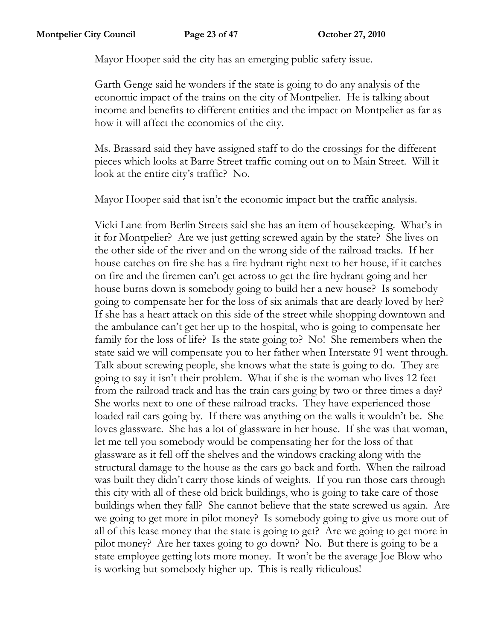Mayor Hooper said the city has an emerging public safety issue.

Garth Genge said he wonders if the state is going to do any analysis of the economic impact of the trains on the city of Montpelier. He is talking about income and benefits to different entities and the impact on Montpelier as far as how it will affect the economics of the city.

Ms. Brassard said they have assigned staff to do the crossings for the different pieces which looks at Barre Street traffic coming out on to Main Street. Will it look at the entire city's traffic? No.

Mayor Hooper said that isn't the economic impact but the traffic analysis.

Vicki Lane from Berlin Streets said she has an item of housekeeping. What's in it for Montpelier? Are we just getting screwed again by the state? She lives on the other side of the river and on the wrong side of the railroad tracks. If her house catches on fire she has a fire hydrant right next to her house, if it catches on fire and the firemen can't get across to get the fire hydrant going and her house burns down is somebody going to build her a new house? Is somebody going to compensate her for the loss of six animals that are dearly loved by her? If she has a heart attack on this side of the street while shopping downtown and the ambulance can't get her up to the hospital, who is going to compensate her family for the loss of life? Is the state going to? No! She remembers when the state said we will compensate you to her father when Interstate 91 went through. Talk about screwing people, she knows what the state is going to do. They are going to say it isn't their problem. What if she is the woman who lives 12 feet from the railroad track and has the train cars going by two or three times a day? She works next to one of these railroad tracks. They have experienced those loaded rail cars going by. If there was anything on the walls it wouldn't be. She loves glassware. She has a lot of glassware in her house. If she was that woman, let me tell you somebody would be compensating her for the loss of that glassware as it fell off the shelves and the windows cracking along with the structural damage to the house as the cars go back and forth. When the railroad was built they didn't carry those kinds of weights. If you run those cars through this city with all of these old brick buildings, who is going to take care of those buildings when they fall? She cannot believe that the state screwed us again. Are we going to get more in pilot money? Is somebody going to give us more out of all of this lease money that the state is going to get? Are we going to get more in pilot money? Are her taxes going to go down? No. But there is going to be a state employee getting lots more money. It won't be the average Joe Blow who is working but somebody higher up. This is really ridiculous!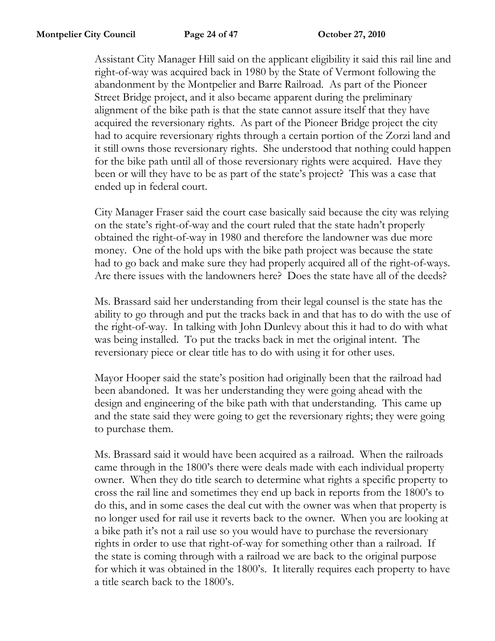Assistant City Manager Hill said on the applicant eligibility it said this rail line and right-of-way was acquired back in 1980 by the State of Vermont following the abandonment by the Montpelier and Barre Railroad. As part of the Pioneer Street Bridge project, and it also became apparent during the preliminary alignment of the bike path is that the state cannot assure itself that they have acquired the reversionary rights. As part of the Pioneer Bridge project the city had to acquire reversionary rights through a certain portion of the Zorzi land and it still owns those reversionary rights. She understood that nothing could happen for the bike path until all of those reversionary rights were acquired. Have they been or will they have to be as part of the state's project? This was a case that ended up in federal court.

City Manager Fraser said the court case basically said because the city was relying on the state's right-of-way and the court ruled that the state hadn't properly obtained the right-of-way in 1980 and therefore the landowner was due more money. One of the hold ups with the bike path project was because the state had to go back and make sure they had properly acquired all of the right-of-ways. Are there issues with the landowners here? Does the state have all of the deeds?

Ms. Brassard said her understanding from their legal counsel is the state has the ability to go through and put the tracks back in and that has to do with the use of the right-of-way. In talking with John Dunlevy about this it had to do with what was being installed. To put the tracks back in met the original intent. The reversionary piece or clear title has to do with using it for other uses.

Mayor Hooper said the state's position had originally been that the railroad had been abandoned. It was her understanding they were going ahead with the design and engineering of the bike path with that understanding. This came up and the state said they were going to get the reversionary rights; they were going to purchase them.

Ms. Brassard said it would have been acquired as a railroad. When the railroads came through in the 1800's there were deals made with each individual property owner. When they do title search to determine what rights a specific property to cross the rail line and sometimes they end up back in reports from the 1800's to do this, and in some cases the deal cut with the owner was when that property is no longer used for rail use it reverts back to the owner. When you are looking at a bike path it's not a rail use so you would have to purchase the reversionary rights in order to use that right-of-way for something other than a railroad. If the state is coming through with a railroad we are back to the original purpose for which it was obtained in the 1800's. It literally requires each property to have a title search back to the 1800's.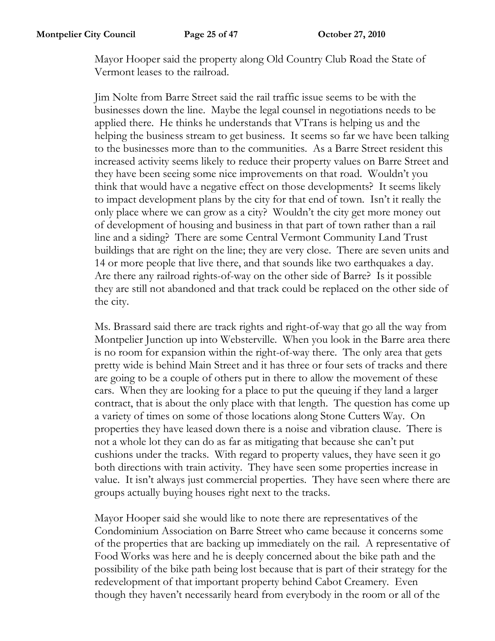Mayor Hooper said the property along Old Country Club Road the State of Vermont leases to the railroad.

Jim Nolte from Barre Street said the rail traffic issue seems to be with the businesses down the line. Maybe the legal counsel in negotiations needs to be applied there. He thinks he understands that VTrans is helping us and the helping the business stream to get business. It seems so far we have been talking to the businesses more than to the communities. As a Barre Street resident this increased activity seems likely to reduce their property values on Barre Street and they have been seeing some nice improvements on that road. Wouldn't you think that would have a negative effect on those developments? It seems likely to impact development plans by the city for that end of town. Isn't it really the only place where we can grow as a city? Wouldn't the city get more money out of development of housing and business in that part of town rather than a rail line and a siding? There are some Central Vermont Community Land Trust buildings that are right on the line; they are very close. There are seven units and 14 or more people that live there, and that sounds like two earthquakes a day. Are there any railroad rights-of-way on the other side of Barre? Is it possible they are still not abandoned and that track could be replaced on the other side of the city.

Ms. Brassard said there are track rights and right-of-way that go all the way from Montpelier Junction up into Websterville. When you look in the Barre area there is no room for expansion within the right-of-way there. The only area that gets pretty wide is behind Main Street and it has three or four sets of tracks and there are going to be a couple of others put in there to allow the movement of these cars. When they are looking for a place to put the queuing if they land a larger contract, that is about the only place with that length. The question has come up a variety of times on some of those locations along Stone Cutters Way. On properties they have leased down there is a noise and vibration clause. There is not a whole lot they can do as far as mitigating that because she can't put cushions under the tracks. With regard to property values, they have seen it go both directions with train activity. They have seen some properties increase in value. It isn't always just commercial properties. They have seen where there are groups actually buying houses right next to the tracks.

Mayor Hooper said she would like to note there are representatives of the Condominium Association on Barre Street who came because it concerns some of the properties that are backing up immediately on the rail. A representative of Food Works was here and he is deeply concerned about the bike path and the possibility of the bike path being lost because that is part of their strategy for the redevelopment of that important property behind Cabot Creamery. Even though they haven't necessarily heard from everybody in the room or all of the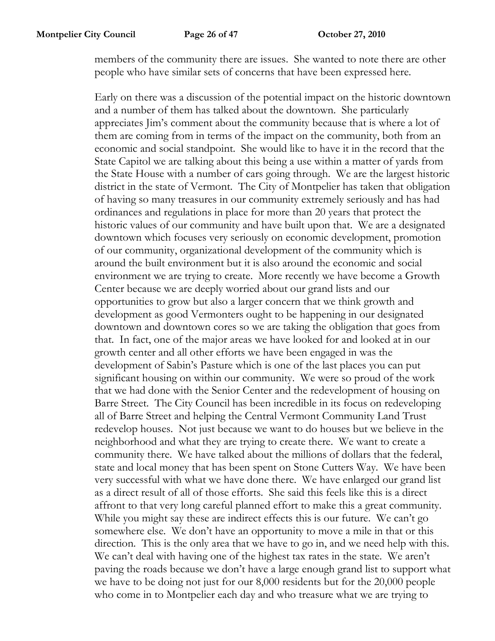members of the community there are issues. She wanted to note there are other people who have similar sets of concerns that have been expressed here.

Early on there was a discussion of the potential impact on the historic downtown and a number of them has talked about the downtown. She particularly appreciates Jim's comment about the community because that is where a lot of them are coming from in terms of the impact on the community, both from an economic and social standpoint. She would like to have it in the record that the State Capitol we are talking about this being a use within a matter of yards from the State House with a number of cars going through. We are the largest historic district in the state of Vermont. The City of Montpelier has taken that obligation of having so many treasures in our community extremely seriously and has had ordinances and regulations in place for more than 20 years that protect the historic values of our community and have built upon that. We are a designated downtown which focuses very seriously on economic development, promotion of our community, organizational development of the community which is around the built environment but it is also around the economic and social environment we are trying to create. More recently we have become a Growth Center because we are deeply worried about our grand lists and our opportunities to grow but also a larger concern that we think growth and development as good Vermonters ought to be happening in our designated downtown and downtown cores so we are taking the obligation that goes from that. In fact, one of the major areas we have looked for and looked at in our growth center and all other efforts we have been engaged in was the development of Sabin's Pasture which is one of the last places you can put significant housing on within our community. We were so proud of the work that we had done with the Senior Center and the redevelopment of housing on Barre Street. The City Council has been incredible in its focus on redeveloping all of Barre Street and helping the Central Vermont Community Land Trust redevelop houses. Not just because we want to do houses but we believe in the neighborhood and what they are trying to create there. We want to create a community there. We have talked about the millions of dollars that the federal, state and local money that has been spent on Stone Cutters Way. We have been very successful with what we have done there. We have enlarged our grand list as a direct result of all of those efforts. She said this feels like this is a direct affront to that very long careful planned effort to make this a great community. While you might say these are indirect effects this is our future. We can't go somewhere else. We don't have an opportunity to move a mile in that or this direction. This is the only area that we have to go in, and we need help with this. We can't deal with having one of the highest tax rates in the state. We aren't paving the roads because we don't have a large enough grand list to support what we have to be doing not just for our 8,000 residents but for the 20,000 people who come in to Montpelier each day and who treasure what we are trying to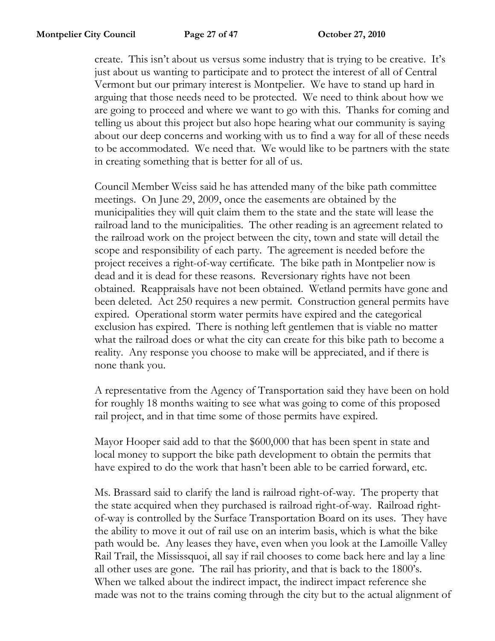create. This isn't about us versus some industry that is trying to be creative. It's just about us wanting to participate and to protect the interest of all of Central Vermont but our primary interest is Montpelier. We have to stand up hard in arguing that those needs need to be protected. We need to think about how we are going to proceed and where we want to go with this. Thanks for coming and telling us about this project but also hope hearing what our community is saying about our deep concerns and working with us to find a way for all of these needs to be accommodated. We need that. We would like to be partners with the state in creating something that is better for all of us.

Council Member Weiss said he has attended many of the bike path committee meetings. On June 29, 2009, once the easements are obtained by the municipalities they will quit claim them to the state and the state will lease the railroad land to the municipalities. The other reading is an agreement related to the railroad work on the project between the city, town and state will detail the scope and responsibility of each party. The agreement is needed before the project receives a right-of-way certificate. The bike path in Montpelier now is dead and it is dead for these reasons. Reversionary rights have not been obtained. Reappraisals have not been obtained. Wetland permits have gone and been deleted. Act 250 requires a new permit. Construction general permits have expired. Operational storm water permits have expired and the categorical exclusion has expired. There is nothing left gentlemen that is viable no matter what the railroad does or what the city can create for this bike path to become a reality. Any response you choose to make will be appreciated, and if there is none thank you.

A representative from the Agency of Transportation said they have been on hold for roughly 18 months waiting to see what was going to come of this proposed rail project, and in that time some of those permits have expired.

Mayor Hooper said add to that the \$600,000 that has been spent in state and local money to support the bike path development to obtain the permits that have expired to do the work that hasn't been able to be carried forward, etc.

Ms. Brassard said to clarify the land is railroad right-of-way. The property that the state acquired when they purchased is railroad right-of-way. Railroad rightof-way is controlled by the Surface Transportation Board on its uses. They have the ability to move it out of rail use on an interim basis, which is what the bike path would be. Any leases they have, even when you look at the Lamoille Valley Rail Trail, the Mississquoi, all say if rail chooses to come back here and lay a line all other uses are gone. The rail has priority, and that is back to the 1800's. When we talked about the indirect impact, the indirect impact reference she made was not to the trains coming through the city but to the actual alignment of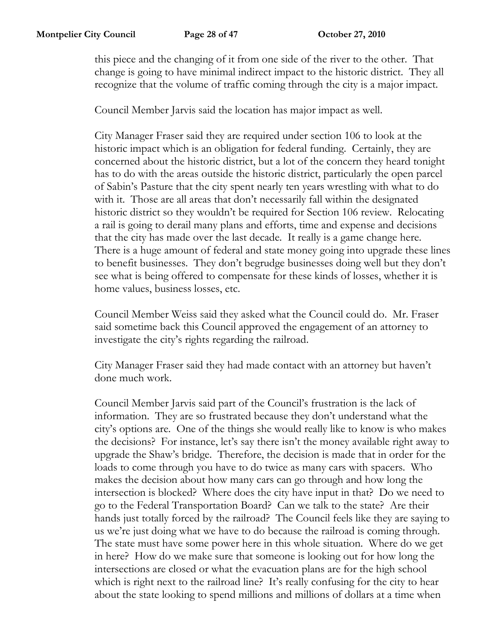this piece and the changing of it from one side of the river to the other. That change is going to have minimal indirect impact to the historic district. They all recognize that the volume of traffic coming through the city is a major impact.

Council Member Jarvis said the location has major impact as well.

City Manager Fraser said they are required under section 106 to look at the historic impact which is an obligation for federal funding. Certainly, they are concerned about the historic district, but a lot of the concern they heard tonight has to do with the areas outside the historic district, particularly the open parcel of Sabin's Pasture that the city spent nearly ten years wrestling with what to do with it. Those are all areas that don't necessarily fall within the designated historic district so they wouldn't be required for Section 106 review. Relocating a rail is going to derail many plans and efforts, time and expense and decisions that the city has made over the last decade. It really is a game change here. There is a huge amount of federal and state money going into upgrade these lines to benefit businesses. They don't begrudge businesses doing well but they don't see what is being offered to compensate for these kinds of losses, whether it is home values, business losses, etc.

Council Member Weiss said they asked what the Council could do. Mr. Fraser said sometime back this Council approved the engagement of an attorney to investigate the city's rights regarding the railroad.

City Manager Fraser said they had made contact with an attorney but haven't done much work.

Council Member Jarvis said part of the Council's frustration is the lack of information. They are so frustrated because they don't understand what the city's options are. One of the things she would really like to know is who makes the decisions? For instance, let's say there isn't the money available right away to upgrade the Shaw's bridge. Therefore, the decision is made that in order for the loads to come through you have to do twice as many cars with spacers. Who makes the decision about how many cars can go through and how long the intersection is blocked? Where does the city have input in that? Do we need to go to the Federal Transportation Board? Can we talk to the state? Are their hands just totally forced by the railroad? The Council feels like they are saying to us we're just doing what we have to do because the railroad is coming through. The state must have some power here in this whole situation. Where do we get in here? How do we make sure that someone is looking out for how long the intersections are closed or what the evacuation plans are for the high school which is right next to the railroad line? It's really confusing for the city to hear about the state looking to spend millions and millions of dollars at a time when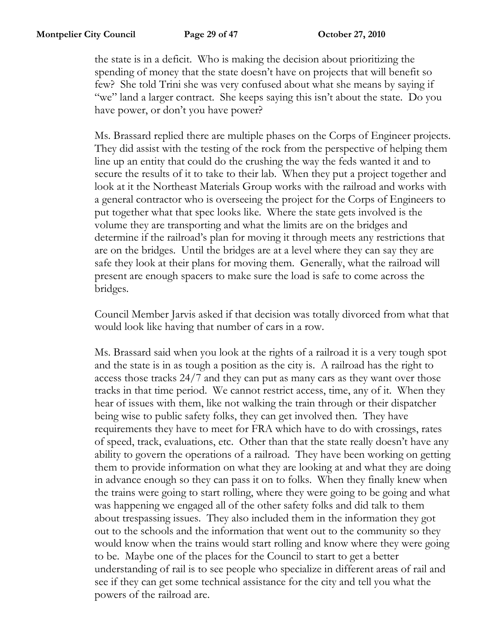the state is in a deficit. Who is making the decision about prioritizing the spending of money that the state doesn't have on projects that will benefit so few? She told Trini she was very confused about what she means by saying if "we" land a larger contract. She keeps saying this isn't about the state. Do you have power, or don't you have power?

Ms. Brassard replied there are multiple phases on the Corps of Engineer projects. They did assist with the testing of the rock from the perspective of helping them line up an entity that could do the crushing the way the feds wanted it and to secure the results of it to take to their lab. When they put a project together and look at it the Northeast Materials Group works with the railroad and works with a general contractor who is overseeing the project for the Corps of Engineers to put together what that spec looks like. Where the state gets involved is the volume they are transporting and what the limits are on the bridges and determine if the railroad's plan for moving it through meets any restrictions that are on the bridges. Until the bridges are at a level where they can say they are safe they look at their plans for moving them. Generally, what the railroad will present are enough spacers to make sure the load is safe to come across the bridges.

Council Member Jarvis asked if that decision was totally divorced from what that would look like having that number of cars in a row.

Ms. Brassard said when you look at the rights of a railroad it is a very tough spot and the state is in as tough a position as the city is. A railroad has the right to access those tracks 24/7 and they can put as many cars as they want over those tracks in that time period. We cannot restrict access, time, any of it. When they hear of issues with them, like not walking the train through or their dispatcher being wise to public safety folks, they can get involved then. They have requirements they have to meet for FRA which have to do with crossings, rates of speed, track, evaluations, etc. Other than that the state really doesn't have any ability to govern the operations of a railroad. They have been working on getting them to provide information on what they are looking at and what they are doing in advance enough so they can pass it on to folks. When they finally knew when the trains were going to start rolling, where they were going to be going and what was happening we engaged all of the other safety folks and did talk to them about trespassing issues. They also included them in the information they got out to the schools and the information that went out to the community so they would know when the trains would start rolling and know where they were going to be. Maybe one of the places for the Council to start to get a better understanding of rail is to see people who specialize in different areas of rail and see if they can get some technical assistance for the city and tell you what the powers of the railroad are.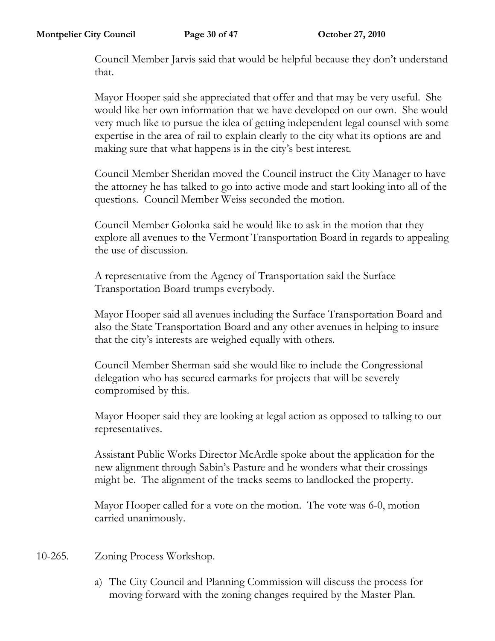Council Member Jarvis said that would be helpful because they don't understand that.

Mayor Hooper said she appreciated that offer and that may be very useful. She would like her own information that we have developed on our own. She would very much like to pursue the idea of getting independent legal counsel with some expertise in the area of rail to explain clearly to the city what its options are and making sure that what happens is in the city's best interest.

Council Member Sheridan moved the Council instruct the City Manager to have the attorney he has talked to go into active mode and start looking into all of the questions. Council Member Weiss seconded the motion.

Council Member Golonka said he would like to ask in the motion that they explore all avenues to the Vermont Transportation Board in regards to appealing the use of discussion.

A representative from the Agency of Transportation said the Surface Transportation Board trumps everybody.

Mayor Hooper said all avenues including the Surface Transportation Board and also the State Transportation Board and any other avenues in helping to insure that the city's interests are weighed equally with others.

Council Member Sherman said she would like to include the Congressional delegation who has secured earmarks for projects that will be severely compromised by this.

Mayor Hooper said they are looking at legal action as opposed to talking to our representatives.

Assistant Public Works Director McArdle spoke about the application for the new alignment through Sabin's Pasture and he wonders what their crossings might be. The alignment of the tracks seems to landlocked the property.

Mayor Hooper called for a vote on the motion. The vote was 6-0, motion carried unanimously.

- 10-265. Zoning Process Workshop.
	- a) The City Council and Planning Commission will discuss the process for moving forward with the zoning changes required by the Master Plan.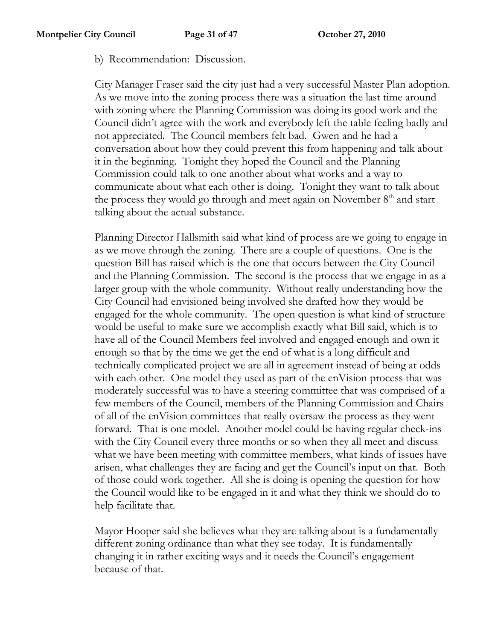b) Recommendation: Discussion.

City Manager Fraser said the city just had a very successful Master Plan adoption. As we move into the zoning process there was a situation the last time around with zoning where the Planning Commission was doing its good work and the Council didn't agree with the work and everybody left the table feeling badly and not appreciated. The Council members felt bad. Gwen and he had a conversation about how they could prevent this from happening and talk about it in the beginning. Tonight they hoped the Council and the Planning Commission could talk to one another about what works and a way to communicate about what each other is doing. Tonight they want to talk about the process they would go through and meet again on November  $8<sup>th</sup>$  and start talking about the actual substance.

Planning Director Hallsmith said what kind of process are we going to engage in as we move through the zoning. There are a couple of questions. One is the question Bill has raised which is the one that occurs between the City Council and the Planning Commission. The second is the process that we engage in as a larger group with the whole community. Without really understanding how the City Council had envisioned being involved she drafted how they would be engaged for the whole community. The open question is what kind of structure would be useful to make sure we accomplish exactly what Bill said, which is to have all of the Council Members feel involved and engaged enough and own it enough so that by the time we get the end of what is a long difficult and technically complicated project we are all in agreement instead of being at odds with each other. One model they used as part of the enVision process that was moderately successful was to have a steering committee that was comprised of a few members of the Council, members of the Planning Commission and Chairs of all of the enVision committees that really oversaw the process as they went forward. That is one model. Another model could be having regular check-ins with the City Council every three months or so when they all meet and discuss what we have been meeting with committee members, what kinds of issues have arisen, what challenges they are facing and get the Council's input on that. Both of those could work together. All she is doing is opening the question for how the Council would like to be engaged in it and what they think we should do to help facilitate that.

Mayor Hooper said she believes what they are talking about is a fundamentally different zoning ordinance than what they see today. It is fundamentally changing it in rather exciting ways and it needs the Council's engagement because of that.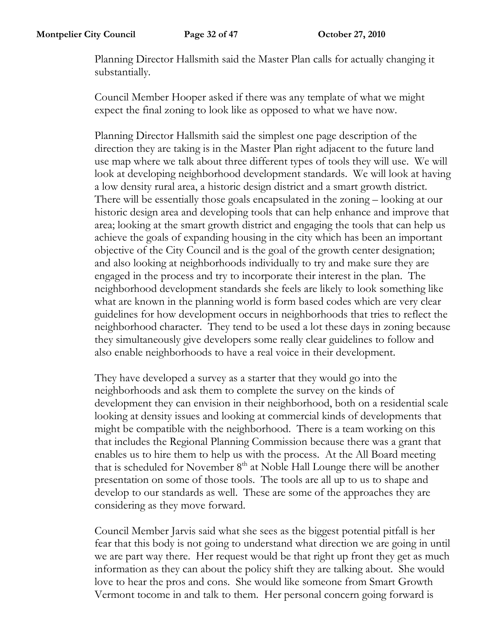Planning Director Hallsmith said the Master Plan calls for actually changing it substantially.

Council Member Hooper asked if there was any template of what we might expect the final zoning to look like as opposed to what we have now.

Planning Director Hallsmith said the simplest one page description of the direction they are taking is in the Master Plan right adjacent to the future land use map where we talk about three different types of tools they will use. We will look at developing neighborhood development standards. We will look at having a low density rural area, a historic design district and a smart growth district. There will be essentially those goals encapsulated in the zoning – looking at our historic design area and developing tools that can help enhance and improve that area; looking at the smart growth district and engaging the tools that can help us achieve the goals of expanding housing in the city which has been an important objective of the City Council and is the goal of the growth center designation; and also looking at neighborhoods individually to try and make sure they are engaged in the process and try to incorporate their interest in the plan. The neighborhood development standards she feels are likely to look something like what are known in the planning world is form based codes which are very clear guidelines for how development occurs in neighborhoods that tries to reflect the neighborhood character. They tend to be used a lot these days in zoning because they simultaneously give developers some really clear guidelines to follow and also enable neighborhoods to have a real voice in their development.

They have developed a survey as a starter that they would go into the neighborhoods and ask them to complete the survey on the kinds of development they can envision in their neighborhood, both on a residential scale looking at density issues and looking at commercial kinds of developments that might be compatible with the neighborhood. There is a team working on this that includes the Regional Planning Commission because there was a grant that enables us to hire them to help us with the process. At the All Board meeting that is scheduled for November 8<sup>th</sup> at Noble Hall Lounge there will be another presentation on some of those tools. The tools are all up to us to shape and develop to our standards as well. These are some of the approaches they are considering as they move forward.

Council Member Jarvis said what she sees as the biggest potential pitfall is her fear that this body is not going to understand what direction we are going in until we are part way there. Her request would be that right up front they get as much information as they can about the policy shift they are talking about. She would love to hear the pros and cons. She would like someone from Smart Growth Vermont tocome in and talk to them. Her personal concern going forward is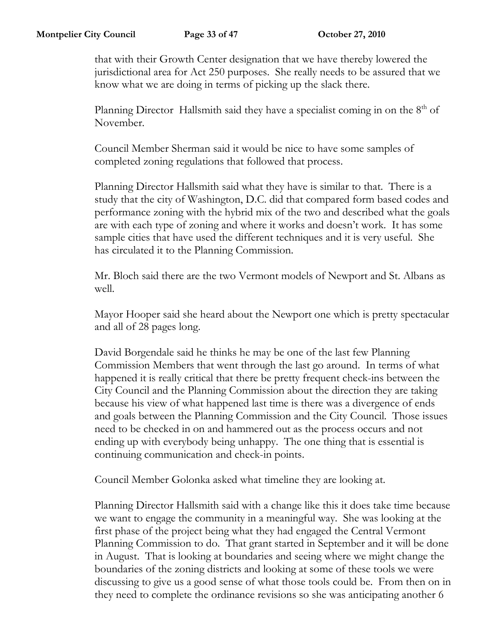that with their Growth Center designation that we have thereby lowered the jurisdictional area for Act 250 purposes. She really needs to be assured that we know what we are doing in terms of picking up the slack there.

Planning Director Hallsmith said they have a specialist coming in on the  $8<sup>th</sup>$  of November.

Council Member Sherman said it would be nice to have some samples of completed zoning regulations that followed that process.

Planning Director Hallsmith said what they have is similar to that. There is a study that the city of Washington, D.C. did that compared form based codes and performance zoning with the hybrid mix of the two and described what the goals are with each type of zoning and where it works and doesn't work. It has some sample cities that have used the different techniques and it is very useful. She has circulated it to the Planning Commission.

Mr. Bloch said there are the two Vermont models of Newport and St. Albans as well.

Mayor Hooper said she heard about the Newport one which is pretty spectacular and all of 28 pages long.

David Borgendale said he thinks he may be one of the last few Planning Commission Members that went through the last go around. In terms of what happened it is really critical that there be pretty frequent check-ins between the City Council and the Planning Commission about the direction they are taking because his view of what happened last time is there was a divergence of ends and goals between the Planning Commission and the City Council. Those issues need to be checked in on and hammered out as the process occurs and not ending up with everybody being unhappy. The one thing that is essential is continuing communication and check-in points.

Council Member Golonka asked what timeline they are looking at.

Planning Director Hallsmith said with a change like this it does take time because we want to engage the community in a meaningful way. She was looking at the first phase of the project being what they had engaged the Central Vermont Planning Commission to do. That grant started in September and it will be done in August. That is looking at boundaries and seeing where we might change the boundaries of the zoning districts and looking at some of these tools we were discussing to give us a good sense of what those tools could be. From then on in they need to complete the ordinance revisions so she was anticipating another 6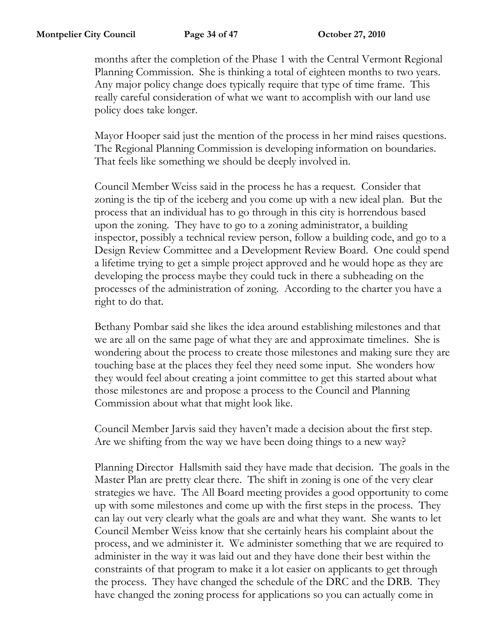months after the completion of the Phase 1 with the Central Vermont Regional Planning Commission. She is thinking a total of eighteen months to two years. Any major policy change does typically require that type of time frame. This really careful consideration of what we want to accomplish with our land use policy does take longer.

Mayor Hooper said just the mention of the process in her mind raises questions. The Regional Planning Commission is developing information on boundaries. That feels like something we should be deeply involved in.

Council Member Weiss said in the process he has a request. Consider that zoning is the tip of the iceberg and you come up with a new ideal plan. But the process that an individual has to go through in this city is horrendous based upon the zoning. They have to go to a zoning administrator, a building inspector, possibly a technical review person, follow a building code, and go to a Design Review Committee and a Development Review Board. One could spend a lifetime trying to get a simple project approved and he would hope as they are developing the process maybe they could tuck in there a subheading on the processes of the administration of zoning. According to the charter you have a right to do that.

Bethany Pombar said she likes the idea around establishing milestones and that we are all on the same page of what they are and approximate timelines. She is wondering about the process to create those milestones and making sure they are touching base at the places they feel they need some input. She wonders how they would feel about creating a joint committee to get this started about what those milestones are and propose a process to the Council and Planning Commission about what that might look like.

Council Member Jarvis said they haven't made a decision about the first step. Are we shifting from the way we have been doing things to a new way?

Planning Director Hallsmith said they have made that decision. The goals in the Master Plan are pretty clear there. The shift in zoning is one of the very clear strategies we have. The All Board meeting provides a good opportunity to come up with some milestones and come up with the first steps in the process. They can lay out very clearly what the goals are and what they want. She wants to let Council Member Weiss know that she certainly hears his complaint about the process, and we administer it. We administer something that we are required to administer in the way it was laid out and they have done their best within the constraints of that program to make it a lot easier on applicants to get through the process. They have changed the schedule of the DRC and the DRB. They have changed the zoning process for applications so you can actually come in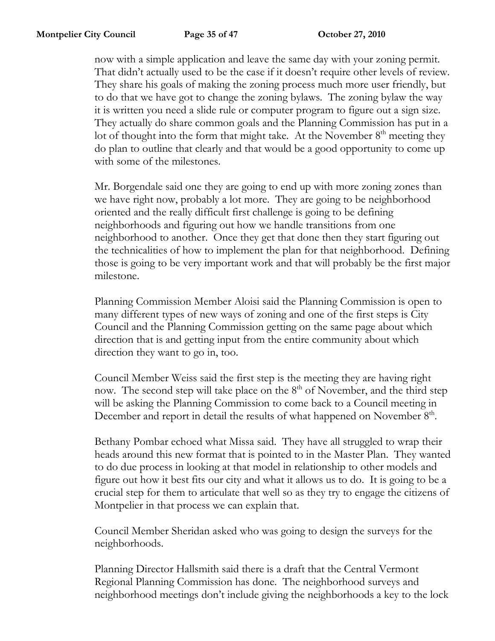now with a simple application and leave the same day with your zoning permit. That didn't actually used to be the case if it doesn't require other levels of review. They share his goals of making the zoning process much more user friendly, but to do that we have got to change the zoning bylaws. The zoning bylaw the way it is written you need a slide rule or computer program to figure out a sign size. They actually do share common goals and the Planning Commission has put in a lot of thought into the form that might take. At the November  $8<sup>th</sup>$  meeting they do plan to outline that clearly and that would be a good opportunity to come up with some of the milestones.

Mr. Borgendale said one they are going to end up with more zoning zones than we have right now, probably a lot more. They are going to be neighborhood oriented and the really difficult first challenge is going to be defining neighborhoods and figuring out how we handle transitions from one neighborhood to another. Once they get that done then they start figuring out the technicalities of how to implement the plan for that neighborhood. Defining those is going to be very important work and that will probably be the first major milestone.

Planning Commission Member Aloisi said the Planning Commission is open to many different types of new ways of zoning and one of the first steps is City Council and the Planning Commission getting on the same page about which direction that is and getting input from the entire community about which direction they want to go in, too.

Council Member Weiss said the first step is the meeting they are having right now. The second step will take place on the  $8<sup>th</sup>$  of November, and the third step will be asking the Planning Commission to come back to a Council meeting in December and report in detail the results of what happened on November 8<sup>th</sup>.

Bethany Pombar echoed what Missa said. They have all struggled to wrap their heads around this new format that is pointed to in the Master Plan. They wanted to do due process in looking at that model in relationship to other models and figure out how it best fits our city and what it allows us to do. It is going to be a crucial step for them to articulate that well so as they try to engage the citizens of Montpelier in that process we can explain that.

Council Member Sheridan asked who was going to design the surveys for the neighborhoods.

Planning Director Hallsmith said there is a draft that the Central Vermont Regional Planning Commission has done. The neighborhood surveys and neighborhood meetings don't include giving the neighborhoods a key to the lock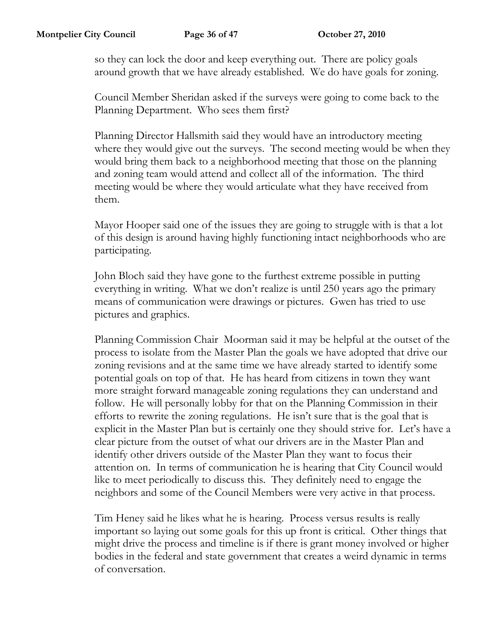so they can lock the door and keep everything out. There are policy goals around growth that we have already established. We do have goals for zoning.

Council Member Sheridan asked if the surveys were going to come back to the Planning Department. Who sees them first?

Planning Director Hallsmith said they would have an introductory meeting where they would give out the surveys. The second meeting would be when they would bring them back to a neighborhood meeting that those on the planning and zoning team would attend and collect all of the information. The third meeting would be where they would articulate what they have received from them.

Mayor Hooper said one of the issues they are going to struggle with is that a lot of this design is around having highly functioning intact neighborhoods who are participating.

John Bloch said they have gone to the furthest extreme possible in putting everything in writing. What we don't realize is until 250 years ago the primary means of communication were drawings or pictures. Gwen has tried to use pictures and graphics.

Planning Commission Chair Moorman said it may be helpful at the outset of the process to isolate from the Master Plan the goals we have adopted that drive our zoning revisions and at the same time we have already started to identify some potential goals on top of that. He has heard from citizens in town they want more straight forward manageable zoning regulations they can understand and follow. He will personally lobby for that on the Planning Commission in their efforts to rewrite the zoning regulations. He isn't sure that is the goal that is explicit in the Master Plan but is certainly one they should strive for. Let's have a clear picture from the outset of what our drivers are in the Master Plan and identify other drivers outside of the Master Plan they want to focus their attention on. In terms of communication he is hearing that City Council would like to meet periodically to discuss this. They definitely need to engage the neighbors and some of the Council Members were very active in that process.

Tim Heney said he likes what he is hearing. Process versus results is really important so laying out some goals for this up front is critical. Other things that might drive the process and timeline is if there is grant money involved or higher bodies in the federal and state government that creates a weird dynamic in terms of conversation.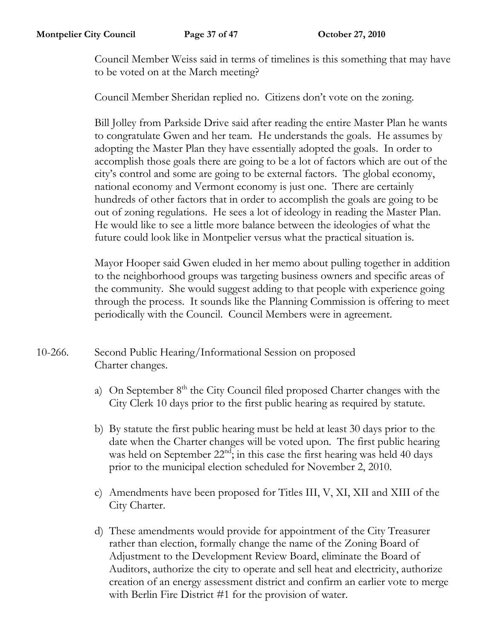Council Member Weiss said in terms of timelines is this something that may have to be voted on at the March meeting?

Council Member Sheridan replied no. Citizens don't vote on the zoning.

Bill Jolley from Parkside Drive said after reading the entire Master Plan he wants to congratulate Gwen and her team. He understands the goals. He assumes by adopting the Master Plan they have essentially adopted the goals. In order to accomplish those goals there are going to be a lot of factors which are out of the city's control and some are going to be external factors. The global economy, national economy and Vermont economy is just one. There are certainly hundreds of other factors that in order to accomplish the goals are going to be out of zoning regulations. He sees a lot of ideology in reading the Master Plan. He would like to see a little more balance between the ideologies of what the future could look like in Montpelier versus what the practical situation is.

Mayor Hooper said Gwen eluded in her memo about pulling together in addition to the neighborhood groups was targeting business owners and specific areas of the community. She would suggest adding to that people with experience going through the process. It sounds like the Planning Commission is offering to meet periodically with the Council. Council Members were in agreement.

- 10-266. Second Public Hearing/Informational Session on proposed Charter changes.
	- a) On September 8<sup>th</sup> the City Council filed proposed Charter changes with the City Clerk 10 days prior to the first public hearing as required by statute.
	- b) By statute the first public hearing must be held at least 30 days prior to the date when the Charter changes will be voted upon. The first public hearing was held on September 22<sup>nd</sup>; in this case the first hearing was held 40 days prior to the municipal election scheduled for November 2, 2010.
	- c) Amendments have been proposed for Titles III, V, XI, XII and XIII of the City Charter.
	- d) These amendments would provide for appointment of the City Treasurer rather than election, formally change the name of the Zoning Board of Adjustment to the Development Review Board, eliminate the Board of Auditors, authorize the city to operate and sell heat and electricity, authorize creation of an energy assessment district and confirm an earlier vote to merge with Berlin Fire District #1 for the provision of water.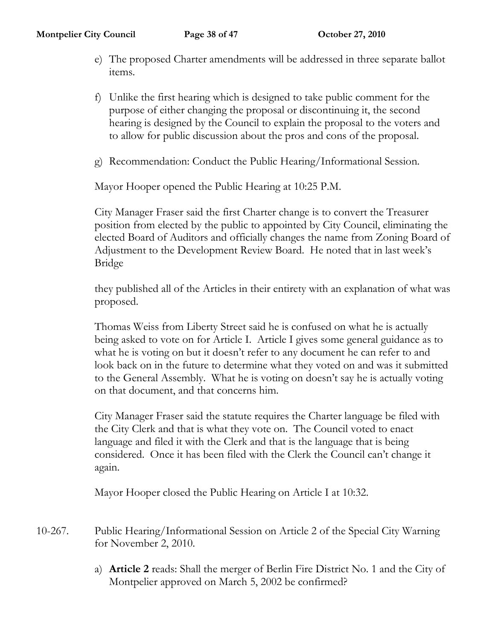- e) The proposed Charter amendments will be addressed in three separate ballot items.
- f) Unlike the first hearing which is designed to take public comment for the purpose of either changing the proposal or discontinuing it, the second hearing is designed by the Council to explain the proposal to the voters and to allow for public discussion about the pros and cons of the proposal.
- g) Recommendation: Conduct the Public Hearing/Informational Session.

Mayor Hooper opened the Public Hearing at 10:25 P.M.

City Manager Fraser said the first Charter change is to convert the Treasurer position from elected by the public to appointed by City Council, eliminating the elected Board of Auditors and officially changes the name from Zoning Board of Adjustment to the Development Review Board. He noted that in last week's Bridge

they published all of the Articles in their entirety with an explanation of what was proposed.

Thomas Weiss from Liberty Street said he is confused on what he is actually being asked to vote on for Article I. Article I gives some general guidance as to what he is voting on but it doesn't refer to any document he can refer to and look back on in the future to determine what they voted on and was it submitted to the General Assembly. What he is voting on doesn't say he is actually voting on that document, and that concerns him.

City Manager Fraser said the statute requires the Charter language be filed with the City Clerk and that is what they vote on. The Council voted to enact language and filed it with the Clerk and that is the language that is being considered. Once it has been filed with the Clerk the Council can't change it again.

Mayor Hooper closed the Public Hearing on Article I at 10:32.

- 10-267. Public Hearing/Informational Session on Article 2 of the Special City Warning for November 2, 2010.
	- a) **Article 2** reads: Shall the merger of Berlin Fire District No. 1 and the City of Montpelier approved on March 5, 2002 be confirmed?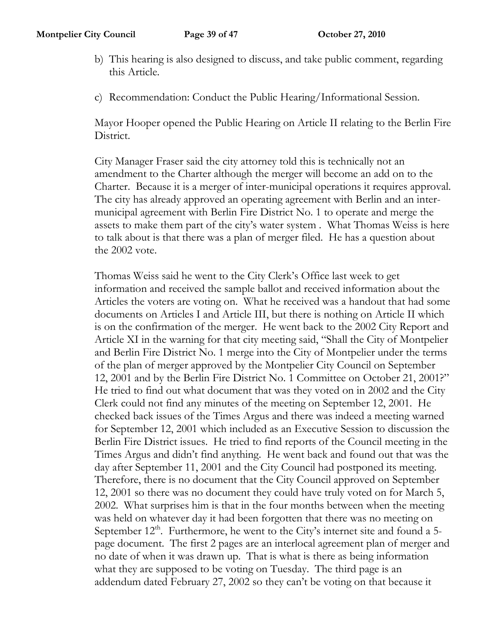- b) This hearing is also designed to discuss, and take public comment, regarding this Article.
- c) Recommendation: Conduct the Public Hearing/Informational Session.

Mayor Hooper opened the Public Hearing on Article II relating to the Berlin Fire District.

City Manager Fraser said the city attorney told this is technically not an amendment to the Charter although the merger will become an add on to the Charter. Because it is a merger of inter-municipal operations it requires approval. The city has already approved an operating agreement with Berlin and an intermunicipal agreement with Berlin Fire District No. 1 to operate and merge the assets to make them part of the city's water system . What Thomas Weiss is here to talk about is that there was a plan of merger filed. He has a question about the 2002 vote.

Thomas Weiss said he went to the City Clerk's Office last week to get information and received the sample ballot and received information about the Articles the voters are voting on. What he received was a handout that had some documents on Articles I and Article III, but there is nothing on Article II which is on the confirmation of the merger. He went back to the 2002 City Report and Article XI in the warning for that city meeting said, "Shall the City of Montpelier and Berlin Fire District No. 1 merge into the City of Montpelier under the terms of the plan of merger approved by the Montpelier City Council on September 12, 2001 and by the Berlin Fire District No. 1 Committee on October 21, 2001?" He tried to find out what document that was they voted on in 2002 and the City Clerk could not find any minutes of the meeting on September 12, 2001. He checked back issues of the Times Argus and there was indeed a meeting warned for September 12, 2001 which included as an Executive Session to discussion the Berlin Fire District issues. He tried to find reports of the Council meeting in the Times Argus and didn't find anything. He went back and found out that was the day after September 11, 2001 and the City Council had postponed its meeting. Therefore, there is no document that the City Council approved on September 12, 2001 so there was no document they could have truly voted on for March 5, 2002. What surprises him is that in the four months between when the meeting was held on whatever day it had been forgotten that there was no meeting on September  $12<sup>th</sup>$ . Furthermore, he went to the City's internet site and found a 5page document. The first 2 pages are an interlocal agreement plan of merger and no date of when it was drawn up. That is what is there as being information what they are supposed to be voting on Tuesday. The third page is an addendum dated February 27, 2002 so they can't be voting on that because it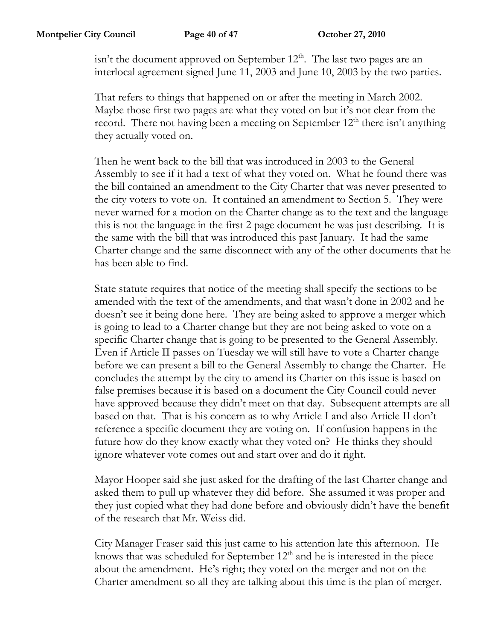isn't the document approved on September  $12<sup>th</sup>$ . The last two pages are an interlocal agreement signed June 11, 2003 and June 10, 2003 by the two parties.

That refers to things that happened on or after the meeting in March 2002. Maybe those first two pages are what they voted on but it's not clear from the record. There not having been a meeting on September  $12<sup>th</sup>$  there isn't anything they actually voted on.

Then he went back to the bill that was introduced in 2003 to the General Assembly to see if it had a text of what they voted on. What he found there was the bill contained an amendment to the City Charter that was never presented to the city voters to vote on. It contained an amendment to Section 5. They were never warned for a motion on the Charter change as to the text and the language this is not the language in the first 2 page document he was just describing. It is the same with the bill that was introduced this past January. It had the same Charter change and the same disconnect with any of the other documents that he has been able to find.

State statute requires that notice of the meeting shall specify the sections to be amended with the text of the amendments, and that wasn't done in 2002 and he doesn't see it being done here. They are being asked to approve a merger which is going to lead to a Charter change but they are not being asked to vote on a specific Charter change that is going to be presented to the General Assembly. Even if Article II passes on Tuesday we will still have to vote a Charter change before we can present a bill to the General Assembly to change the Charter. He concludes the attempt by the city to amend its Charter on this issue is based on false premises because it is based on a document the City Council could never have approved because they didn't meet on that day. Subsequent attempts are all based on that. That is his concern as to why Article I and also Article II don't reference a specific document they are voting on. If confusion happens in the future how do they know exactly what they voted on? He thinks they should ignore whatever vote comes out and start over and do it right.

Mayor Hooper said she just asked for the drafting of the last Charter change and asked them to pull up whatever they did before. She assumed it was proper and they just copied what they had done before and obviously didn't have the benefit of the research that Mr. Weiss did.

City Manager Fraser said this just came to his attention late this afternoon. He knows that was scheduled for September  $12<sup>th</sup>$  and he is interested in the piece about the amendment. He's right; they voted on the merger and not on the Charter amendment so all they are talking about this time is the plan of merger.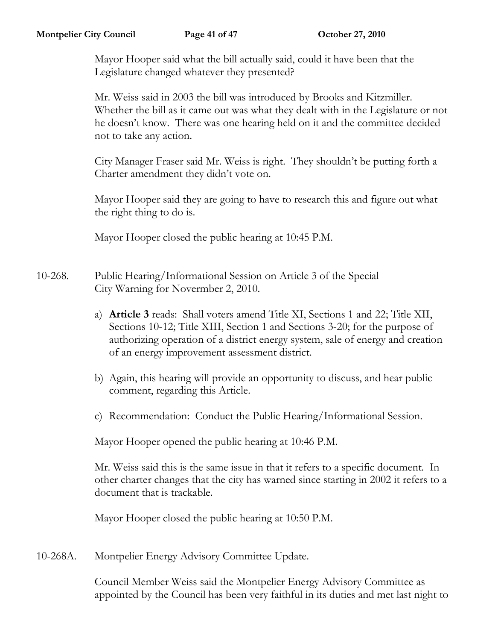Mayor Hooper said what the bill actually said, could it have been that the Legislature changed whatever they presented?

Mr. Weiss said in 2003 the bill was introduced by Brooks and Kitzmiller. Whether the bill as it came out was what they dealt with in the Legislature or not he doesn't know. There was one hearing held on it and the committee decided not to take any action.

City Manager Fraser said Mr. Weiss is right. They shouldn't be putting forth a Charter amendment they didn't vote on.

Mayor Hooper said they are going to have to research this and figure out what the right thing to do is.

Mayor Hooper closed the public hearing at 10:45 P.M.

- 10-268. Public Hearing/Informational Session on Article 3 of the Special City Warning for Novermber 2, 2010.
	- a) **Article 3** reads: Shall voters amend Title XI, Sections 1 and 22; Title XII, Sections 10-12; Title XIII, Section 1 and Sections 3-20; for the purpose of authorizing operation of a district energy system, sale of energy and creation of an energy improvement assessment district.
	- b) Again, this hearing will provide an opportunity to discuss, and hear public comment, regarding this Article.
	- c) Recommendation: Conduct the Public Hearing/Informational Session.

Mayor Hooper opened the public hearing at 10:46 P.M.

Mr. Weiss said this is the same issue in that it refers to a specific document. In other charter changes that the city has warned since starting in 2002 it refers to a document that is trackable.

Mayor Hooper closed the public hearing at 10:50 P.M.

10-268A. Montpelier Energy Advisory Committee Update.

Council Member Weiss said the Montpelier Energy Advisory Committee as appointed by the Council has been very faithful in its duties and met last night to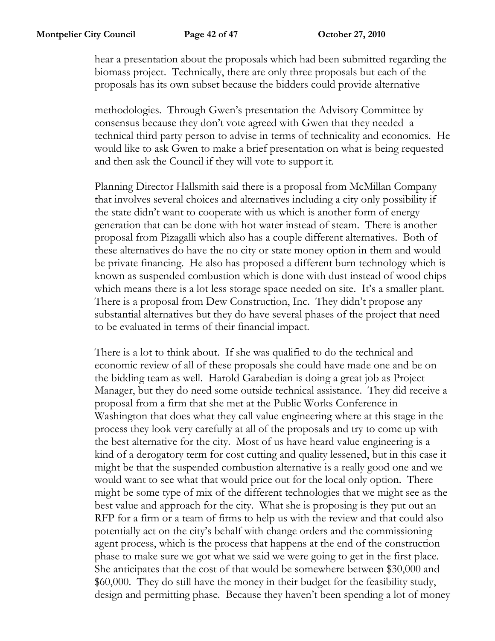hear a presentation about the proposals which had been submitted regarding the biomass project. Technically, there are only three proposals but each of the proposals has its own subset because the bidders could provide alternative

methodologies. Through Gwen's presentation the Advisory Committee by consensus because they don't vote agreed with Gwen that they needed a technical third party person to advise in terms of technicality and economics. He would like to ask Gwen to make a brief presentation on what is being requested and then ask the Council if they will vote to support it.

Planning Director Hallsmith said there is a proposal from McMillan Company that involves several choices and alternatives including a city only possibility if the state didn't want to cooperate with us which is another form of energy generation that can be done with hot water instead of steam. There is another proposal from Pizagalli which also has a couple different alternatives. Both of these alternatives do have the no city or state money option in them and would be private financing. He also has proposed a different burn technology which is known as suspended combustion which is done with dust instead of wood chips which means there is a lot less storage space needed on site. It's a smaller plant. There is a proposal from Dew Construction, Inc. They didn't propose any substantial alternatives but they do have several phases of the project that need to be evaluated in terms of their financial impact.

There is a lot to think about. If she was qualified to do the technical and economic review of all of these proposals she could have made one and be on the bidding team as well. Harold Garabedian is doing a great job as Project Manager, but they do need some outside technical assistance. They did receive a proposal from a firm that she met at the Public Works Conference in Washington that does what they call value engineering where at this stage in the process they look very carefully at all of the proposals and try to come up with the best alternative for the city. Most of us have heard value engineering is a kind of a derogatory term for cost cutting and quality lessened, but in this case it might be that the suspended combustion alternative is a really good one and we would want to see what that would price out for the local only option. There might be some type of mix of the different technologies that we might see as the best value and approach for the city. What she is proposing is they put out an RFP for a firm or a team of firms to help us with the review and that could also potentially act on the city's behalf with change orders and the commissioning agent process, which is the process that happens at the end of the construction phase to make sure we got what we said we were going to get in the first place. She anticipates that the cost of that would be somewhere between \$30,000 and \$60,000. They do still have the money in their budget for the feasibility study, design and permitting phase. Because they haven't been spending a lot of money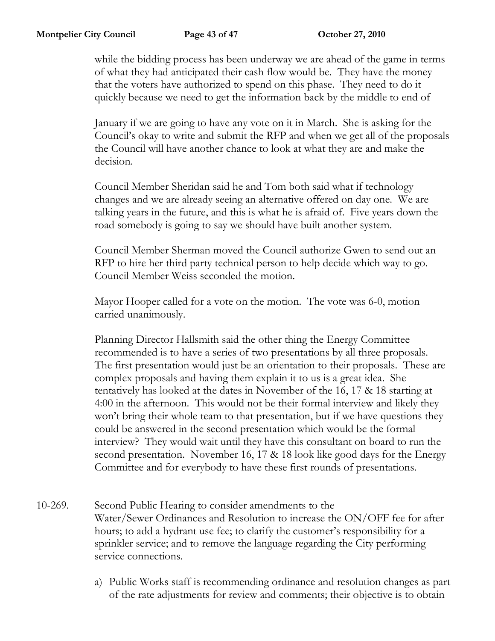while the bidding process has been underway we are ahead of the game in terms of what they had anticipated their cash flow would be. They have the money that the voters have authorized to spend on this phase. They need to do it quickly because we need to get the information back by the middle to end of

January if we are going to have any vote on it in March. She is asking for the Council's okay to write and submit the RFP and when we get all of the proposals the Council will have another chance to look at what they are and make the decision.

Council Member Sheridan said he and Tom both said what if technology changes and we are already seeing an alternative offered on day one. We are talking years in the future, and this is what he is afraid of. Five years down the road somebody is going to say we should have built another system.

Council Member Sherman moved the Council authorize Gwen to send out an RFP to hire her third party technical person to help decide which way to go. Council Member Weiss seconded the motion.

Mayor Hooper called for a vote on the motion. The vote was 6-0, motion carried unanimously.

Planning Director Hallsmith said the other thing the Energy Committee recommended is to have a series of two presentations by all three proposals. The first presentation would just be an orientation to their proposals. These are complex proposals and having them explain it to us is a great idea. She tentatively has looked at the dates in November of the 16, 17 & 18 starting at 4:00 in the afternoon. This would not be their formal interview and likely they won't bring their whole team to that presentation, but if we have questions they could be answered in the second presentation which would be the formal interview? They would wait until they have this consultant on board to run the second presentation. November 16, 17 & 18 look like good days for the Energy Committee and for everybody to have these first rounds of presentations.

- 10-269. Second Public Hearing to consider amendments to the Water/Sewer Ordinances and Resolution to increase the ON/OFF fee for after hours; to add a hydrant use fee; to clarify the customer's responsibility for a sprinkler service; and to remove the language regarding the City performing service connections.
	- a) Public Works staff is recommending ordinance and resolution changes as part of the rate adjustments for review and comments; their objective is to obtain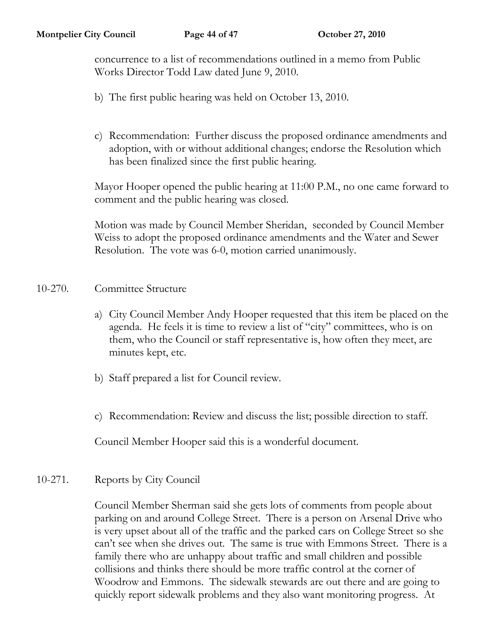concurrence to a list of recommendations outlined in a memo from Public Works Director Todd Law dated June 9, 2010.

- b) The first public hearing was held on October 13, 2010.
- c) Recommendation: Further discuss the proposed ordinance amendments and adoption, with or without additional changes; endorse the Resolution which has been finalized since the first public hearing.

Mayor Hooper opened the public hearing at 11:00 P.M., no one came forward to comment and the public hearing was closed.

Motion was made by Council Member Sheridan, seconded by Council Member Weiss to adopt the proposed ordinance amendments and the Water and Sewer Resolution. The vote was 6-0, motion carried unanimously.

## 10-270. Committee Structure

- a) City Council Member Andy Hooper requested that this item be placed on the agenda. He feels it is time to review a list of "city" committees, who is on them, who the Council or staff representative is, how often they meet, are minutes kept, etc.
- b) Staff prepared a list for Council review.
- c) Recommendation: Review and discuss the list; possible direction to staff.

Council Member Hooper said this is a wonderful document.

## 10-271. Reports by City Council

Council Member Sherman said she gets lots of comments from people about parking on and around College Street. There is a person on Arsenal Drive who is very upset about all of the traffic and the parked cars on College Street so she can't see when she drives out. The same is true with Emmons Street. There is a family there who are unhappy about traffic and small children and possible collisions and thinks there should be more traffic control at the corner of Woodrow and Emmons. The sidewalk stewards are out there and are going to quickly report sidewalk problems and they also want monitoring progress. At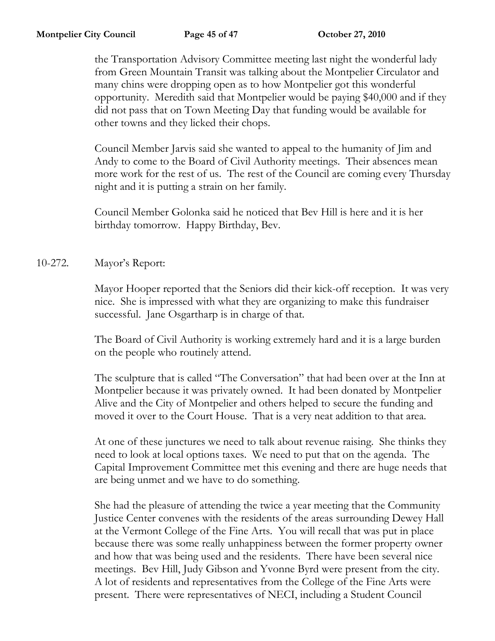the Transportation Advisory Committee meeting last night the wonderful lady from Green Mountain Transit was talking about the Montpelier Circulator and many chins were dropping open as to how Montpelier got this wonderful opportunity. Meredith said that Montpelier would be paying \$40,000 and if they did not pass that on Town Meeting Day that funding would be available for other towns and they licked their chops.

Council Member Jarvis said she wanted to appeal to the humanity of Jim and Andy to come to the Board of Civil Authority meetings. Their absences mean more work for the rest of us. The rest of the Council are coming every Thursday night and it is putting a strain on her family.

Council Member Golonka said he noticed that Bev Hill is here and it is her birthday tomorrow. Happy Birthday, Bev.

10-272. Mayor's Report:

Mayor Hooper reported that the Seniors did their kick-off reception. It was very nice. She is impressed with what they are organizing to make this fundraiser successful. Jane Osgartharp is in charge of that.

The Board of Civil Authority is working extremely hard and it is a large burden on the people who routinely attend.

The sculpture that is called "The Conversation" that had been over at the Inn at Montpelier because it was privately owned. It had been donated by Montpelier Alive and the City of Montpelier and others helped to secure the funding and moved it over to the Court House. That is a very neat addition to that area.

At one of these junctures we need to talk about revenue raising. She thinks they need to look at local options taxes. We need to put that on the agenda. The Capital Improvement Committee met this evening and there are huge needs that are being unmet and we have to do something.

She had the pleasure of attending the twice a year meeting that the Community Justice Center convenes with the residents of the areas surrounding Dewey Hall at the Vermont College of the Fine Arts. You will recall that was put in place because there was some really unhappiness between the former property owner and how that was being used and the residents. There have been several nice meetings. Bev Hill, Judy Gibson and Yvonne Byrd were present from the city. A lot of residents and representatives from the College of the Fine Arts were present. There were representatives of NECI, including a Student Council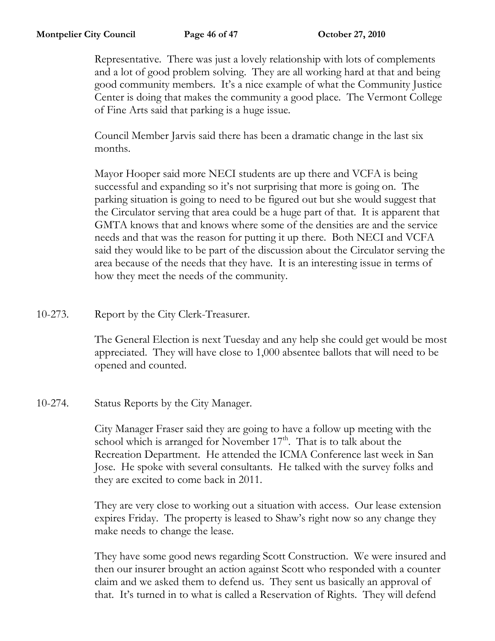Representative. There was just a lovely relationship with lots of complements and a lot of good problem solving. They are all working hard at that and being good community members. It's a nice example of what the Community Justice Center is doing that makes the community a good place. The Vermont College of Fine Arts said that parking is a huge issue.

Council Member Jarvis said there has been a dramatic change in the last six months.

Mayor Hooper said more NECI students are up there and VCFA is being successful and expanding so it's not surprising that more is going on. The parking situation is going to need to be figured out but she would suggest that the Circulator serving that area could be a huge part of that. It is apparent that GMTA knows that and knows where some of the densities are and the service needs and that was the reason for putting it up there. Both NECI and VCFA said they would like to be part of the discussion about the Circulator serving the area because of the needs that they have. It is an interesting issue in terms of how they meet the needs of the community.

10-273. Report by the City Clerk-Treasurer.

The General Election is next Tuesday and any help she could get would be most appreciated. They will have close to 1,000 absentee ballots that will need to be opened and counted.

10-274. Status Reports by the City Manager.

City Manager Fraser said they are going to have a follow up meeting with the school which is arranged for November  $17<sup>th</sup>$ . That is to talk about the Recreation Department. He attended the ICMA Conference last week in San Jose. He spoke with several consultants. He talked with the survey folks and they are excited to come back in 2011.

They are very close to working out a situation with access. Our lease extension expires Friday. The property is leased to Shaw's right now so any change they make needs to change the lease.

They have some good news regarding Scott Construction. We were insured and then our insurer brought an action against Scott who responded with a counter claim and we asked them to defend us. They sent us basically an approval of that. It's turned in to what is called a Reservation of Rights. They will defend